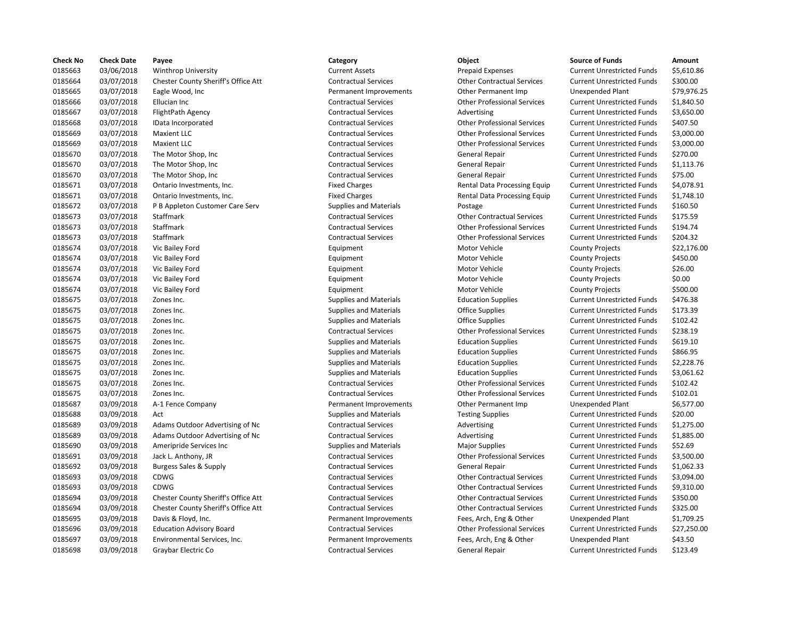| <b>Check No</b> | <b>Check Date</b> | Payee                               | Category                      | Object                             | <b>Source of Funds</b>            | Amount      |
|-----------------|-------------------|-------------------------------------|-------------------------------|------------------------------------|-----------------------------------|-------------|
| 0185663         | 03/06/2018        | <b>Winthrop University</b>          | <b>Current Assets</b>         | <b>Prepaid Expenses</b>            | <b>Current Unrestricted Funds</b> | \$5,610.86  |
| 0185664         | 03/07/2018        | Chester County Sheriff's Office Att | <b>Contractual Services</b>   | <b>Other Contractual Services</b>  | <b>Current Unrestricted Funds</b> | \$300.00    |
| 0185665         | 03/07/2018        | Eagle Wood, Inc.                    | Permanent Improvements        | <b>Other Permanent Imp</b>         | <b>Unexpended Plant</b>           | \$79,976.25 |
| 0185666         | 03/07/2018        | Ellucian Inc                        | <b>Contractual Services</b>   | <b>Other Professional Services</b> | <b>Current Unrestricted Funds</b> | \$1,840.50  |
| 0185667         | 03/07/2018        | FlightPath Agency                   | <b>Contractual Services</b>   | Advertising                        | <b>Current Unrestricted Funds</b> | \$3,650.00  |
| 0185668         | 03/07/2018        | IData Incorporated                  | <b>Contractual Services</b>   | <b>Other Professional Services</b> | <b>Current Unrestricted Funds</b> | \$407.50    |
| 0185669         | 03/07/2018        | <b>Maxient LLC</b>                  | <b>Contractual Services</b>   | <b>Other Professional Services</b> | <b>Current Unrestricted Funds</b> | \$3,000.00  |
| 0185669         | 03/07/2018        | <b>Maxient LLC</b>                  | <b>Contractual Services</b>   | <b>Other Professional Services</b> | <b>Current Unrestricted Funds</b> | \$3,000.00  |
| 0185670         | 03/07/2018        | The Motor Shop, Inc                 | <b>Contractual Services</b>   | General Repair                     | <b>Current Unrestricted Funds</b> | \$270.00    |
| 0185670         | 03/07/2018        | The Motor Shop, Inc                 | <b>Contractual Services</b>   | <b>General Repair</b>              | <b>Current Unrestricted Funds</b> | \$1,113.76  |
| 0185670         | 03/07/2018        | The Motor Shop, Inc                 | <b>Contractual Services</b>   | General Repair                     | <b>Current Unrestricted Funds</b> | \$75.00     |
| 0185671         | 03/07/2018        | Ontario Investments, Inc.           | <b>Fixed Charges</b>          | Rental Data Processing Equip       | <b>Current Unrestricted Funds</b> | \$4,078.91  |
| 0185671         | 03/07/2018        | Ontario Investments, Inc.           | <b>Fixed Charges</b>          | Rental Data Processing Equip       | <b>Current Unrestricted Funds</b> | \$1,748.10  |
| 0185672         | 03/07/2018        | P B Appleton Customer Care Serv     | <b>Supplies and Materials</b> | Postage                            | <b>Current Unrestricted Funds</b> | \$160.50    |
| 0185673         | 03/07/2018        | Staffmark                           | <b>Contractual Services</b>   | <b>Other Contractual Services</b>  | <b>Current Unrestricted Funds</b> | \$175.59    |
| 0185673         | 03/07/2018        | Staffmark                           | <b>Contractual Services</b>   | <b>Other Professional Services</b> | <b>Current Unrestricted Funds</b> | \$194.74    |
| 0185673         |                   | Staffmark                           | <b>Contractual Services</b>   | <b>Other Professional Services</b> | <b>Current Unrestricted Funds</b> | \$204.32    |
|                 | 03/07/2018        |                                     |                               |                                    |                                   |             |
| 0185674         | 03/07/2018        | Vic Bailey Ford                     | Equipment                     | Motor Vehicle                      | <b>County Projects</b>            | \$22,176.00 |
| 0185674         | 03/07/2018        | Vic Bailey Ford                     | Equipment                     | Motor Vehicle                      | <b>County Projects</b>            | \$450.00    |
| 0185674         | 03/07/2018        | Vic Bailey Ford                     | Equipment                     | Motor Vehicle                      | <b>County Projects</b>            | \$26.00     |
| 0185674         | 03/07/2018        | Vic Bailey Ford                     | Equipment                     | Motor Vehicle                      | <b>County Projects</b>            | \$0.00      |
| 0185674         | 03/07/2018        | Vic Bailey Ford                     | Equipment                     | Motor Vehicle                      | <b>County Projects</b>            | \$500.00    |
| 0185675         | 03/07/2018        | Zones Inc.                          | <b>Supplies and Materials</b> | <b>Education Supplies</b>          | <b>Current Unrestricted Funds</b> | \$476.38    |
| 0185675         | 03/07/2018        | Zones Inc.                          | <b>Supplies and Materials</b> | <b>Office Supplies</b>             | <b>Current Unrestricted Funds</b> | \$173.39    |
| 0185675         | 03/07/2018        | Zones Inc.                          | <b>Supplies and Materials</b> | <b>Office Supplies</b>             | <b>Current Unrestricted Funds</b> | \$102.42    |
| 0185675         | 03/07/2018        | Zones Inc.                          | <b>Contractual Services</b>   | <b>Other Professional Services</b> | <b>Current Unrestricted Funds</b> | \$238.19    |
| 0185675         | 03/07/2018        | Zones Inc.                          | <b>Supplies and Materials</b> | <b>Education Supplies</b>          | <b>Current Unrestricted Funds</b> | \$619.10    |
| 0185675         | 03/07/2018        | Zones Inc.                          | <b>Supplies and Materials</b> | <b>Education Supplies</b>          | <b>Current Unrestricted Funds</b> | \$866.95    |
| 0185675         | 03/07/2018        | Zones Inc.                          | <b>Supplies and Materials</b> | <b>Education Supplies</b>          | <b>Current Unrestricted Funds</b> | \$2,228.76  |
| 0185675         | 03/07/2018        | Zones Inc.                          | <b>Supplies and Materials</b> | <b>Education Supplies</b>          | <b>Current Unrestricted Funds</b> | \$3,061.62  |
| 0185675         | 03/07/2018        | Zones Inc.                          | <b>Contractual Services</b>   | <b>Other Professional Services</b> | <b>Current Unrestricted Funds</b> | \$102.42    |
| 0185675         | 03/07/2018        | Zones Inc.                          | <b>Contractual Services</b>   | <b>Other Professional Services</b> | <b>Current Unrestricted Funds</b> | \$102.01    |
| 0185687         | 03/09/2018        | A-1 Fence Company                   | Permanent Improvements        | Other Permanent Imp                | <b>Unexpended Plant</b>           | \$6,577.00  |
| 0185688         | 03/09/2018        | Act                                 | <b>Supplies and Materials</b> | <b>Testing Supplies</b>            | <b>Current Unrestricted Funds</b> | \$20.00     |
| 0185689         | 03/09/2018        | Adams Outdoor Advertising of Nc     | <b>Contractual Services</b>   | Advertising                        | <b>Current Unrestricted Funds</b> | \$1,275.00  |
| 0185689         | 03/09/2018        | Adams Outdoor Advertising of Nc     | <b>Contractual Services</b>   | Advertising                        | <b>Current Unrestricted Funds</b> | \$1,885.00  |
| 0185690         | 03/09/2018        | Ameripride Services Inc             | <b>Supplies and Materials</b> | <b>Major Supplies</b>              | <b>Current Unrestricted Funds</b> | \$52.69     |
| 0185691         | 03/09/2018        | Jack L. Anthony, JR                 | <b>Contractual Services</b>   | <b>Other Professional Services</b> | <b>Current Unrestricted Funds</b> | \$3,500.00  |
| 0185692         | 03/09/2018        | <b>Burgess Sales &amp; Supply</b>   | <b>Contractual Services</b>   | General Repair                     | <b>Current Unrestricted Funds</b> | \$1,062.33  |
| 0185693         | 03/09/2018        | CDWG                                | <b>Contractual Services</b>   | <b>Other Contractual Services</b>  | <b>Current Unrestricted Funds</b> | \$3,094.00  |
| 0185693         | 03/09/2018        | CDWG                                | <b>Contractual Services</b>   | <b>Other Contractual Services</b>  | <b>Current Unrestricted Funds</b> | \$9,310.00  |
| 0185694         | 03/09/2018        | Chester County Sheriff's Office Att | <b>Contractual Services</b>   | <b>Other Contractual Services</b>  | <b>Current Unrestricted Funds</b> | \$350.00    |
| 0185694         | 03/09/2018        | Chester County Sheriff's Office Att | <b>Contractual Services</b>   | <b>Other Contractual Services</b>  | <b>Current Unrestricted Funds</b> | \$325.00    |
| 0185695         | 03/09/2018        | Davis & Floyd, Inc.                 | Permanent Improvements        | Fees, Arch, Eng & Other            | <b>Unexpended Plant</b>           | \$1,709.25  |
| 0185696         | 03/09/2018        | <b>Education Advisory Board</b>     | <b>Contractual Services</b>   | <b>Other Professional Services</b> | <b>Current Unrestricted Funds</b> | \$27,250.00 |
| 0185697         | 03/09/2018        | Environmental Services, Inc.        | Permanent Improvements        | Fees, Arch, Eng & Other            | <b>Unexpended Plant</b>           | \$43.50     |
| 0185698         | 03/09/2018        | Graybar Electric Co                 | <b>Contractual Services</b>   | General Repair                     | <b>Current Unrestricted Funds</b> | \$123.49    |
|                 |                   |                                     |                               |                                    |                                   |             |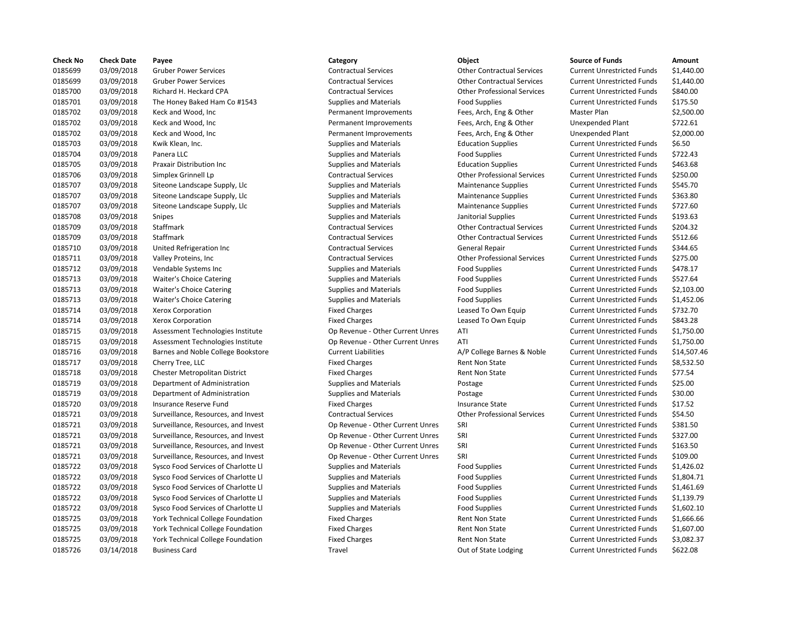| <b>Check No</b> | <b>Check Date</b> | Payee                               | Category                         | Object                             | <b>Source of Funds</b>            | Amount     |
|-----------------|-------------------|-------------------------------------|----------------------------------|------------------------------------|-----------------------------------|------------|
| 0185699         | 03/09/2018        | <b>Gruber Power Services</b>        | <b>Contractual Services</b>      | <b>Other Contractual Services</b>  | <b>Current Unrestricted Funds</b> | \$1,440.00 |
| 0185699         | 03/09/2018        | <b>Gruber Power Services</b>        | <b>Contractual Services</b>      | <b>Other Contractual Services</b>  | <b>Current Unrestricted Funds</b> | \$1,440.00 |
| 0185700         | 03/09/2018        | Richard H. Heckard CPA              | <b>Contractual Services</b>      | <b>Other Professional Services</b> | <b>Current Unrestricted Funds</b> | \$840.00   |
| 0185701         | 03/09/2018        | The Honey Baked Ham Co #1543        | <b>Supplies and Materials</b>    | <b>Food Supplies</b>               | <b>Current Unrestricted Funds</b> | \$175.50   |
| 0185702         | 03/09/2018        | Keck and Wood, Inc                  | Permanent Improvements           | Fees, Arch, Eng & Other            | Master Plan                       | \$2,500.00 |
| 0185702         | 03/09/2018        | Keck and Wood, Inc                  | Permanent Improvements           | Fees, Arch, Eng & Other            | <b>Unexpended Plant</b>           | \$722.61   |
| 0185702         | 03/09/2018        | Keck and Wood, Inc.                 | Permanent Improvements           | Fees, Arch, Eng & Other            | Unexpended Plant                  | \$2,000.00 |
| 0185703         | 03/09/2018        | Kwik Klean, Inc.                    | <b>Supplies and Materials</b>    | <b>Education Supplies</b>          | <b>Current Unrestricted Funds</b> | \$6.50     |
| 0185704         | 03/09/2018        | Panera LLC                          | <b>Supplies and Materials</b>    | <b>Food Supplies</b>               | <b>Current Unrestricted Funds</b> | \$722.43   |
| 0185705         | 03/09/2018        | <b>Praxair Distribution Inc</b>     | <b>Supplies and Materials</b>    | <b>Education Supplies</b>          | <b>Current Unrestricted Funds</b> | \$463.68   |
| 0185706         | 03/09/2018        | Simplex Grinnell Lp                 | <b>Contractual Services</b>      | <b>Other Professional Services</b> | <b>Current Unrestricted Funds</b> | \$250.00   |
| 0185707         | 03/09/2018        | Siteone Landscape Supply, Llc       | <b>Supplies and Materials</b>    | <b>Maintenance Supplies</b>        | <b>Current Unrestricted Funds</b> | \$545.70   |
| 0185707         | 03/09/2018        | Siteone Landscape Supply, Llc       | <b>Supplies and Materials</b>    | <b>Maintenance Supplies</b>        | <b>Current Unrestricted Funds</b> | \$363.80   |
| 0185707         | 03/09/2018        | Siteone Landscape Supply, Llc       | <b>Supplies and Materials</b>    | <b>Maintenance Supplies</b>        | <b>Current Unrestricted Funds</b> | \$727.60   |
| 0185708         | 03/09/2018        | Snipes                              |                                  |                                    | <b>Current Unrestricted Funds</b> | \$193.63   |
|                 |                   |                                     | <b>Supplies and Materials</b>    | Janitorial Supplies                |                                   |            |
| 0185709         | 03/09/2018        | Staffmark                           | <b>Contractual Services</b>      | <b>Other Contractual Services</b>  | <b>Current Unrestricted Funds</b> | \$204.32   |
| 0185709         | 03/09/2018        | <b>Staffmark</b>                    | <b>Contractual Services</b>      | <b>Other Contractual Services</b>  | <b>Current Unrestricted Funds</b> | \$512.66   |
| 0185710         | 03/09/2018        | United Refrigeration Inc            | <b>Contractual Services</b>      | <b>General Repair</b>              | <b>Current Unrestricted Funds</b> | \$344.65   |
| 0185711         | 03/09/2018        | Valley Proteins, Inc                | <b>Contractual Services</b>      | <b>Other Professional Services</b> | <b>Current Unrestricted Funds</b> | \$275.00   |
| 0185712         | 03/09/2018        | Vendable Systems Inc                | <b>Supplies and Materials</b>    | <b>Food Supplies</b>               | <b>Current Unrestricted Funds</b> | \$478.17   |
| 0185713         | 03/09/2018        | <b>Waiter's Choice Catering</b>     | <b>Supplies and Materials</b>    | <b>Food Supplies</b>               | <b>Current Unrestricted Funds</b> | \$527.64   |
| 0185713         | 03/09/2018        | <b>Waiter's Choice Catering</b>     | <b>Supplies and Materials</b>    | <b>Food Supplies</b>               | <b>Current Unrestricted Funds</b> | \$2,103.00 |
| 0185713         | 03/09/2018        | <b>Waiter's Choice Catering</b>     | <b>Supplies and Materials</b>    | <b>Food Supplies</b>               | <b>Current Unrestricted Funds</b> | \$1,452.06 |
| 0185714         | 03/09/2018        | <b>Xerox Corporation</b>            | <b>Fixed Charges</b>             | Leased To Own Equip                | <b>Current Unrestricted Funds</b> | \$732.70   |
| 0185714         | 03/09/2018        | Xerox Corporation                   | <b>Fixed Charges</b>             | Leased To Own Equip                | <b>Current Unrestricted Funds</b> | \$843.28   |
| 0185715         | 03/09/2018        | Assessment Technologies Institute   | Op Revenue - Other Current Unres | ATI                                | <b>Current Unrestricted Funds</b> | \$1,750.00 |
| 0185715         | 03/09/2018        | Assessment Technologies Institute   | Op Revenue - Other Current Unres | ATI                                | <b>Current Unrestricted Funds</b> | \$1,750.00 |
| 0185716         | 03/09/2018        | Barnes and Noble College Bookstore  | <b>Current Liabilities</b>       | A/P College Barnes & Noble         | <b>Current Unrestricted Funds</b> | \$14,507.4 |
| 0185717         | 03/09/2018        | Cherry Tree, LLC                    | <b>Fixed Charges</b>             | Rent Non State                     | <b>Current Unrestricted Funds</b> | \$8,532.50 |
| 0185718         | 03/09/2018        | Chester Metropolitan District       | <b>Fixed Charges</b>             | <b>Rent Non State</b>              | <b>Current Unrestricted Funds</b> | \$77.54    |
| 0185719         | 03/09/2018        | Department of Administration        | <b>Supplies and Materials</b>    | Postage                            | <b>Current Unrestricted Funds</b> | \$25.00    |
| 0185719         | 03/09/2018        | Department of Administration        | <b>Supplies and Materials</b>    | Postage                            | <b>Current Unrestricted Funds</b> | \$30.00    |
| 0185720         | 03/09/2018        | Insurance Reserve Fund              | <b>Fixed Charges</b>             | <b>Insurance State</b>             | <b>Current Unrestricted Funds</b> | \$17.52    |
| 0185721         | 03/09/2018        | Surveillance, Resources, and Invest | <b>Contractual Services</b>      | <b>Other Professional Services</b> | <b>Current Unrestricted Funds</b> | \$54.50    |
| 0185721         | 03/09/2018        | Surveillance, Resources, and Invest | Op Revenue - Other Current Unres | SRI                                | <b>Current Unrestricted Funds</b> | \$381.50   |
| 0185721         | 03/09/2018        | Surveillance, Resources, and Invest | Op Revenue - Other Current Unres | SRI                                | <b>Current Unrestricted Funds</b> | \$327.00   |
| 0185721         | 03/09/2018        | Surveillance, Resources, and Invest | Op Revenue - Other Current Unres | SRI                                | <b>Current Unrestricted Funds</b> | \$163.50   |
| 0185721         | 03/09/2018        | Surveillance, Resources, and Invest | Op Revenue - Other Current Unres | SRI                                | <b>Current Unrestricted Funds</b> | \$109.00   |
| 0185722         | 03/09/2018        | Sysco Food Services of Charlotte Ll | <b>Supplies and Materials</b>    | <b>Food Supplies</b>               | <b>Current Unrestricted Funds</b> | \$1,426.02 |
| 0185722         | 03/09/2018        | Sysco Food Services of Charlotte Ll | <b>Supplies and Materials</b>    | <b>Food Supplies</b>               | <b>Current Unrestricted Funds</b> | \$1,804.71 |
| 0185722         | 03/09/2018        | Sysco Food Services of Charlotte Ll | <b>Supplies and Materials</b>    | <b>Food Supplies</b>               | <b>Current Unrestricted Funds</b> | \$1,461.69 |
| 0185722         | 03/09/2018        | Sysco Food Services of Charlotte Ll | <b>Supplies and Materials</b>    | Food Supplies                      | <b>Current Unrestricted Funds</b> | \$1,139.79 |
| 0185722         | 03/09/2018        | Sysco Food Services of Charlotte Ll | <b>Supplies and Materials</b>    | <b>Food Supplies</b>               | <b>Current Unrestricted Funds</b> | \$1,602.10 |
| 0185725         |                   |                                     |                                  | <b>Rent Non State</b>              | <b>Current Unrestricted Funds</b> | \$1,666.66 |
|                 | 03/09/2018        | York Technical College Foundation   | <b>Fixed Charges</b>             |                                    |                                   |            |
| 0185725         | 03/09/2018        | York Technical College Foundation   | <b>Fixed Charges</b>             | <b>Rent Non State</b>              | <b>Current Unrestricted Funds</b> | \$1,607.00 |
| 0185725         | 03/09/2018        | York Technical College Foundation   | <b>Fixed Charges</b>             | Rent Non State                     | <b>Current Unrestricted Funds</b> | \$3,082.37 |
| 0185726         | 03/14/2018        | <b>Business Card</b>                | Travel                           | Out of State Lodging               | <b>Current Unrestricted Funds</b> | \$622.08   |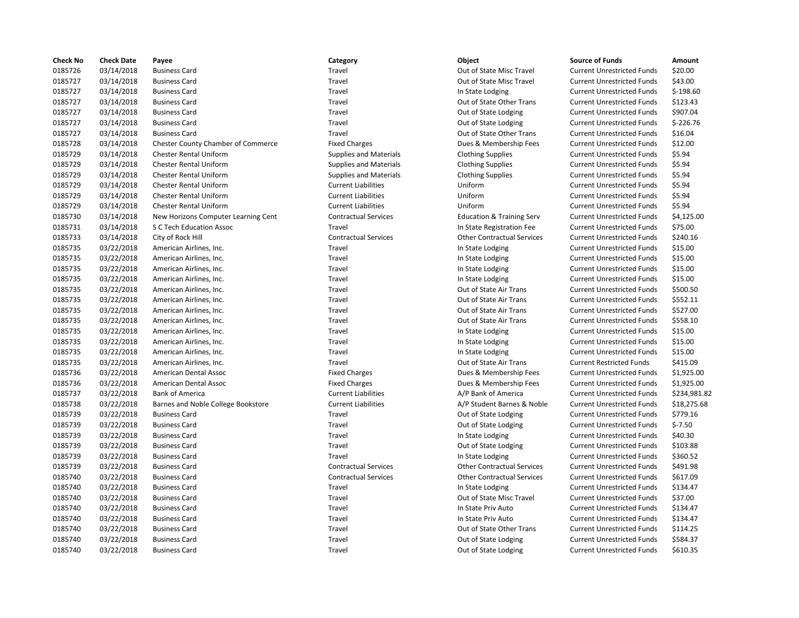| <b>Check No</b> | <b>Check Date</b> | Payee                                     | Category                      | Object                               | <b>Source of Funds</b>            | Amount     |
|-----------------|-------------------|-------------------------------------------|-------------------------------|--------------------------------------|-----------------------------------|------------|
| 0185726         | 03/14/2018        | <b>Business Card</b>                      | Travel                        | Out of State Misc Travel             | <b>Current Unrestricted Funds</b> | \$20.00    |
| 0185727         | 03/14/2018        | <b>Business Card</b>                      | Travel                        | Out of State Misc Travel             | <b>Current Unrestricted Funds</b> | \$43.00    |
| 0185727         | 03/14/2018        | <b>Business Card</b>                      | Travel                        | In State Lodging                     | <b>Current Unrestricted Funds</b> | $$-198.60$ |
| 0185727         | 03/14/2018        | <b>Business Card</b>                      | Travel                        | Out of State Other Trans             | <b>Current Unrestricted Funds</b> | \$123.43   |
| 0185727         | 03/14/2018        | <b>Business Card</b>                      | Travel                        | Out of State Lodging                 | <b>Current Unrestricted Funds</b> | \$907.04   |
| 0185727         | 03/14/2018        | <b>Business Card</b>                      | Travel                        | Out of State Lodging                 | <b>Current Unrestricted Funds</b> | $$-226.76$ |
| 0185727         | 03/14/2018        | <b>Business Card</b>                      | Travel                        | Out of State Other Trans             | <b>Current Unrestricted Funds</b> | \$16.04    |
| 0185728         | 03/14/2018        | <b>Chester County Chamber of Commerce</b> | <b>Fixed Charges</b>          | Dues & Membership Fees               | <b>Current Unrestricted Funds</b> | \$12.00    |
| 0185729         | 03/14/2018        | Chester Rental Uniform                    | <b>Supplies and Materials</b> | <b>Clothing Supplies</b>             | <b>Current Unrestricted Funds</b> | \$5.94     |
| 0185729         | 03/14/2018        | <b>Chester Rental Uniform</b>             | <b>Supplies and Materials</b> | <b>Clothing Supplies</b>             | <b>Current Unrestricted Funds</b> | \$5.94     |
| 0185729         | 03/14/2018        | Chester Rental Uniform                    | <b>Supplies and Materials</b> | <b>Clothing Supplies</b>             | <b>Current Unrestricted Funds</b> | \$5.94     |
| 0185729         | 03/14/2018        | <b>Chester Rental Uniform</b>             | <b>Current Liabilities</b>    | Uniform                              | <b>Current Unrestricted Funds</b> | \$5.94     |
| 0185729         | 03/14/2018        | <b>Chester Rental Uniform</b>             | <b>Current Liabilities</b>    | Uniform                              | <b>Current Unrestricted Funds</b> | \$5.94     |
| 0185729         | 03/14/2018        | <b>Chester Rental Uniform</b>             | <b>Current Liabilities</b>    | Uniform                              | <b>Current Unrestricted Funds</b> | \$5.94     |
| 0185730         | 03/14/2018        | New Horizons Computer Learning Cent       | <b>Contractual Services</b>   | <b>Education &amp; Training Serv</b> | <b>Current Unrestricted Funds</b> | \$4,125.0  |
| 0185731         | 03/14/2018        | S C Tech Education Assoc                  | Travel                        | In State Registration Fee            | <b>Current Unrestricted Funds</b> | \$75.00    |
| 0185733         | 03/14/2018        | City of Rock Hill                         | <b>Contractual Services</b>   | <b>Other Contractual Services</b>    | <b>Current Unrestricted Funds</b> | \$240.16   |
| 0185735         | 03/22/2018        | American Airlines, Inc.                   | Travel                        | In State Lodging                     | <b>Current Unrestricted Funds</b> | \$15.00    |
| 0185735         | 03/22/2018        | American Airlines, Inc.                   | Travel                        | In State Lodging                     | <b>Current Unrestricted Funds</b> | \$15.00    |
| 0185735         |                   |                                           | Travel                        |                                      |                                   | \$15.00    |
| 0185735         | 03/22/2018        | American Airlines, Inc.                   | Travel                        | In State Lodging                     | <b>Current Unrestricted Funds</b> | \$15.00    |
|                 | 03/22/2018        | American Airlines, Inc.                   |                               | In State Lodging                     | <b>Current Unrestricted Funds</b> |            |
| 0185735         | 03/22/2018        | American Airlines, Inc.                   | Travel                        | Out of State Air Trans               | <b>Current Unrestricted Funds</b> | \$500.50   |
| 0185735         | 03/22/2018        | American Airlines, Inc.                   | Travel                        | Out of State Air Trans               | <b>Current Unrestricted Funds</b> | \$552.11   |
| 0185735         | 03/22/2018        | American Airlines, Inc.                   | Travel                        | Out of State Air Trans               | <b>Current Unrestricted Funds</b> | \$527.00   |
| 0185735         | 03/22/2018        | American Airlines, Inc.                   | Travel                        | Out of State Air Trans               | <b>Current Unrestricted Funds</b> | \$558.10   |
| 0185735         | 03/22/2018        | American Airlines, Inc.                   | Travel                        | In State Lodging                     | <b>Current Unrestricted Funds</b> | \$15.00    |
| 0185735         | 03/22/2018        | American Airlines, Inc.                   | Travel                        | In State Lodging                     | <b>Current Unrestricted Funds</b> | \$15.00    |
| 0185735         | 03/22/2018        | American Airlines, Inc.                   | Travel                        | In State Lodging                     | <b>Current Unrestricted Funds</b> | \$15.00    |
| 0185735         | 03/22/2018        | American Airlines, Inc.                   | Travel                        | Out of State Air Trans               | <b>Current Restricted Funds</b>   | \$415.09   |
| 0185736         | 03/22/2018        | American Dental Assoc                     | <b>Fixed Charges</b>          | Dues & Membership Fees               | <b>Current Unrestricted Funds</b> | \$1,925.0  |
| 0185736         | 03/22/2018        | American Dental Assoc                     | <b>Fixed Charges</b>          | Dues & Membership Fees               | <b>Current Unrestricted Funds</b> | \$1,925.0  |
| 0185737         | 03/22/2018        | <b>Bank of America</b>                    | <b>Current Liabilities</b>    | A/P Bank of America                  | <b>Current Unrestricted Funds</b> | \$234,98   |
| 0185738         | 03/22/2018        | Barnes and Noble College Bookstore        | <b>Current Liabilities</b>    | A/P Student Barnes & Noble           | <b>Current Unrestricted Funds</b> | \$18,275   |
| 0185739         | 03/22/2018        | <b>Business Card</b>                      | Travel                        | Out of State Lodging                 | <b>Current Unrestricted Funds</b> | \$779.16   |
| 0185739         | 03/22/2018        | <b>Business Card</b>                      | Travel                        | Out of State Lodging                 | <b>Current Unrestricted Funds</b> | $$-7.50$   |
| 0185739         | 03/22/2018        | <b>Business Card</b>                      | Travel                        | In State Lodging                     | <b>Current Unrestricted Funds</b> | \$40.30    |
| 0185739         | 03/22/2018        | <b>Business Card</b>                      | Travel                        | Out of State Lodging                 | <b>Current Unrestricted Funds</b> | \$103.88   |
| 0185739         | 03/22/2018        | <b>Business Card</b>                      | Travel                        | In State Lodging                     | <b>Current Unrestricted Funds</b> | \$360.52   |
| 0185739         | 03/22/2018        | <b>Business Card</b>                      | <b>Contractual Services</b>   | <b>Other Contractual Services</b>    | <b>Current Unrestricted Funds</b> | \$491.98   |
| 0185740         | 03/22/2018        | <b>Business Card</b>                      | <b>Contractual Services</b>   | <b>Other Contractual Services</b>    | <b>Current Unrestricted Funds</b> | \$617.09   |
| 0185740         | 03/22/2018        | <b>Business Card</b>                      | Travel                        | In State Lodging                     | <b>Current Unrestricted Funds</b> | \$134.47   |
| 0185740         | 03/22/2018        | <b>Business Card</b>                      | Travel                        | Out of State Misc Travel             | <b>Current Unrestricted Funds</b> | \$37.00    |
| 0185740         | 03/22/2018        | <b>Business Card</b>                      | Travel                        | In State Priv Auto                   | <b>Current Unrestricted Funds</b> | \$134.47   |
| 0185740         | 03/22/2018        | <b>Business Card</b>                      | Travel                        | In State Priv Auto                   | <b>Current Unrestricted Funds</b> | \$134.47   |
| 0185740         | 03/22/2018        | <b>Business Card</b>                      | Travel                        | Out of State Other Trans             | <b>Current Unrestricted Funds</b> | \$114.25   |
| 0185740         | 03/22/2018        | <b>Business Card</b>                      | Travel                        | Out of State Lodging                 | <b>Current Unrestricted Funds</b> | \$584.37   |
| 0185740         | 03/22/2018        | <b>Business Card</b>                      | Travel                        | Out of State Lodging                 | <b>Current Unrestricted Funds</b> | \$610.35   |
|                 |                   |                                           |                               |                                      |                                   |            |

## Travel **2022** 2018 Out of State Lodging Current Unrestricted Funds \$610.35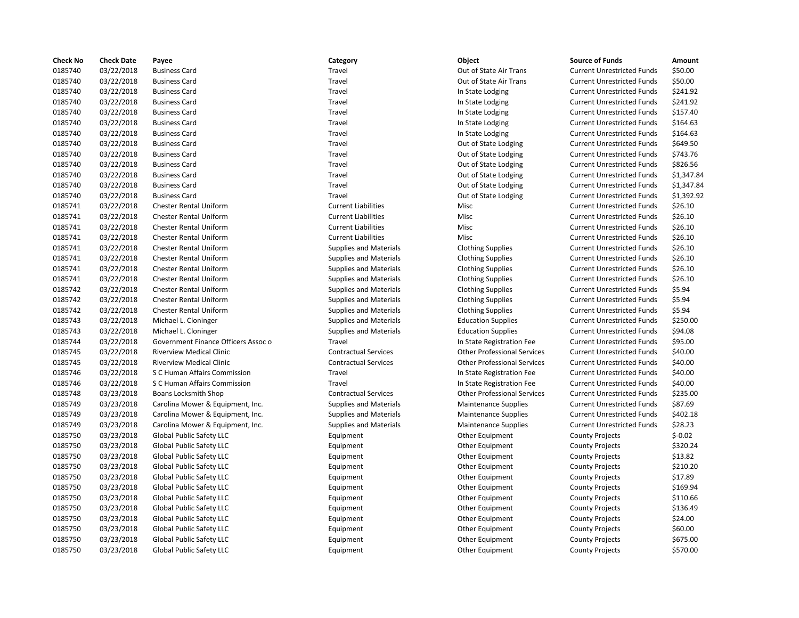| <b>Check No</b> | <b>Check Date</b> | Payee                               | Category                      | Object                             | <b>Source of Funds</b>            | Amount     |
|-----------------|-------------------|-------------------------------------|-------------------------------|------------------------------------|-----------------------------------|------------|
| 0185740         | 03/22/2018        | <b>Business Card</b>                | Travel                        | Out of State Air Trans             | <b>Current Unrestricted Funds</b> | \$50.00    |
| 0185740         | 03/22/2018        | <b>Business Card</b>                | Travel                        | Out of State Air Trans             | <b>Current Unrestricted Funds</b> | \$50.00    |
| 0185740         | 03/22/2018        | <b>Business Card</b>                | Travel                        | In State Lodging                   | <b>Current Unrestricted Funds</b> | \$241.92   |
| 0185740         | 03/22/2018        | <b>Business Card</b>                | Travel                        | In State Lodging                   | <b>Current Unrestricted Funds</b> | \$241.92   |
| 0185740         | 03/22/2018        | <b>Business Card</b>                | Travel                        | In State Lodging                   | <b>Current Unrestricted Funds</b> | \$157.40   |
| 0185740         | 03/22/2018        | <b>Business Card</b>                | Travel                        | In State Lodging                   | <b>Current Unrestricted Funds</b> | \$164.63   |
| 0185740         | 03/22/2018        | <b>Business Card</b>                | Travel                        | In State Lodging                   | <b>Current Unrestricted Funds</b> | \$164.63   |
| 0185740         | 03/22/2018        | <b>Business Card</b>                | Travel                        | Out of State Lodging               | <b>Current Unrestricted Funds</b> | \$649.50   |
| 0185740         | 03/22/2018        | <b>Business Card</b>                | Travel                        | Out of State Lodging               | <b>Current Unrestricted Funds</b> | \$743.76   |
| 0185740         | 03/22/2018        | <b>Business Card</b>                | Travel                        | Out of State Lodging               | <b>Current Unrestricted Funds</b> | \$826.56   |
| 0185740         | 03/22/2018        | <b>Business Card</b>                | Travel                        | Out of State Lodging               | <b>Current Unrestricted Funds</b> | \$1,347.84 |
| 0185740         | 03/22/2018        | <b>Business Card</b>                | Travel                        | Out of State Lodging               | <b>Current Unrestricted Funds</b> | \$1,347.84 |
| 0185740         | 03/22/2018        | <b>Business Card</b>                | Travel                        | Out of State Lodging               | <b>Current Unrestricted Funds</b> | \$1,392.92 |
| 0185741         | 03/22/2018        | <b>Chester Rental Uniform</b>       | <b>Current Liabilities</b>    | Misc                               | <b>Current Unrestricted Funds</b> | \$26.10    |
| 0185741         | 03/22/2018        | <b>Chester Rental Uniform</b>       | <b>Current Liabilities</b>    | Misc                               | <b>Current Unrestricted Funds</b> | \$26.10    |
| 0185741         | 03/22/2018        | <b>Chester Rental Uniform</b>       | <b>Current Liabilities</b>    | Misc                               | <b>Current Unrestricted Funds</b> | \$26.10    |
| 0185741         | 03/22/2018        | Chester Rental Uniform              | <b>Current Liabilities</b>    | Misc                               | <b>Current Unrestricted Funds</b> | \$26.10    |
| 0185741         | 03/22/2018        | <b>Chester Rental Uniform</b>       | <b>Supplies and Materials</b> | <b>Clothing Supplies</b>           | <b>Current Unrestricted Funds</b> | \$26.10    |
| 0185741         | 03/22/2018        | <b>Chester Rental Uniform</b>       | Supplies and Materials        | <b>Clothing Supplies</b>           | <b>Current Unrestricted Funds</b> | \$26.10    |
| 0185741         | 03/22/2018        | <b>Chester Rental Uniform</b>       | <b>Supplies and Materials</b> | <b>Clothing Supplies</b>           | <b>Current Unrestricted Funds</b> | \$26.10    |
| 0185741         | 03/22/2018        | Chester Rental Uniform              | Supplies and Materials        |                                    | <b>Current Unrestricted Funds</b> | \$26.10    |
|                 |                   |                                     |                               | <b>Clothing Supplies</b>           |                                   |            |
| 0185742         | 03/22/2018        | <b>Chester Rental Uniform</b>       | <b>Supplies and Materials</b> | <b>Clothing Supplies</b>           | <b>Current Unrestricted Funds</b> | \$5.94     |
| 0185742         | 03/22/2018        | <b>Chester Rental Uniform</b>       | <b>Supplies and Materials</b> | <b>Clothing Supplies</b>           | <b>Current Unrestricted Funds</b> | \$5.94     |
| 0185742         | 03/22/2018        | <b>Chester Rental Uniform</b>       | <b>Supplies and Materials</b> | <b>Clothing Supplies</b>           | <b>Current Unrestricted Funds</b> | \$5.94     |
| 0185743         | 03/22/2018        | Michael L. Cloninger                | <b>Supplies and Materials</b> | <b>Education Supplies</b>          | <b>Current Unrestricted Funds</b> | \$250.00   |
| 0185743         | 03/22/2018        | Michael L. Cloninger                | <b>Supplies and Materials</b> | <b>Education Supplies</b>          | <b>Current Unrestricted Funds</b> | \$94.08    |
| 0185744         | 03/22/2018        | Government Finance Officers Assoc o | Travel                        | In State Registration Fee          | <b>Current Unrestricted Funds</b> | \$95.00    |
| 0185745         | 03/22/2018        | <b>Riverview Medical Clinic</b>     | <b>Contractual Services</b>   | <b>Other Professional Services</b> | <b>Current Unrestricted Funds</b> | \$40.00    |
| 0185745         | 03/22/2018        | <b>Riverview Medical Clinic</b>     | <b>Contractual Services</b>   | <b>Other Professional Services</b> | <b>Current Unrestricted Funds</b> | \$40.00    |
| 0185746         | 03/22/2018        | S C Human Affairs Commission        | Travel                        | In State Registration Fee          | <b>Current Unrestricted Funds</b> | \$40.00    |
| 0185746         | 03/22/2018        | S C Human Affairs Commission        | Travel                        | In State Registration Fee          | <b>Current Unrestricted Funds</b> | \$40.00    |
| 0185748         | 03/23/2018        | Boans Locksmith Shop                | <b>Contractual Services</b>   | <b>Other Professional Services</b> | <b>Current Unrestricted Funds</b> | \$235.00   |
| 0185749         | 03/23/2018        | Carolina Mower & Equipment, Inc.    | <b>Supplies and Materials</b> | <b>Maintenance Supplies</b>        | <b>Current Unrestricted Funds</b> | \$87.69    |
| 0185749         | 03/23/2018        | Carolina Mower & Equipment, Inc.    | <b>Supplies and Materials</b> | Maintenance Supplies               | <b>Current Unrestricted Funds</b> | \$402.18   |
| 0185749         | 03/23/2018        | Carolina Mower & Equipment, Inc.    | <b>Supplies and Materials</b> | Maintenance Supplies               | <b>Current Unrestricted Funds</b> | \$28.23    |
| 0185750         | 03/23/2018        | Global Public Safety LLC            | Equipment                     | Other Equipment                    | <b>County Projects</b>            | $$-0.02$   |
| 0185750         | 03/23/2018        | Global Public Safety LLC            | Equipment                     | Other Equipment                    | <b>County Projects</b>            | \$320.24   |
| 0185750         | 03/23/2018        | Global Public Safety LLC            | Equipment                     | Other Equipment                    | <b>County Projects</b>            | \$13.82    |
| 0185750         | 03/23/2018        | Global Public Safety LLC            | Equipment                     | Other Equipment                    | <b>County Projects</b>            | \$210.20   |
| 0185750         | 03/23/2018        | Global Public Safety LLC            | Equipment                     | Other Equipment                    | <b>County Projects</b>            | \$17.89    |
| 0185750         | 03/23/2018        | Global Public Safety LLC            | Equipment                     | Other Equipment                    | <b>County Projects</b>            | \$169.94   |
| 0185750         | 03/23/2018        | Global Public Safety LLC            | Equipment                     | Other Equipment                    | <b>County Projects</b>            | \$110.66   |
| 0185750         | 03/23/2018        | Global Public Safety LLC            | Equipment                     | Other Equipment                    | <b>County Projects</b>            | \$136.49   |
| 0185750         | 03/23/2018        | Global Public Safety LLC            | Equipment                     | Other Equipment                    | <b>County Projects</b>            | \$24.00    |
| 0185750         | 03/23/2018        | Global Public Safety LLC            | Equipment                     | Other Equipment                    | <b>County Projects</b>            | \$60.00    |
| 0185750         | 03/23/2018        | Global Public Safety LLC            | Equipment                     | Other Equipment                    | <b>County Projects</b>            | \$675.00   |
| 0185750         | 03/23/2018        | Global Public Safety LLC            | Equipment                     | Other Equipment                    | <b>County Projects</b>            | \$570.00   |

## Travel **1874 2018** Out of State Air Trans Current Unrestricted Funds 550.00 0185740 03/22/2018 Business Card Travel Out of State Air Trans Current Unrestricted Funds \$50.00 0185740 03/22/2018 Business Card Travel In State Lodging Current Unrestricted Funds \$241.92 Travel **12018 In State Lodging Current Unrestricted Funds** \$241.92 Travel **1200 03/22/2018 In State Lodging Current Unrestricted Funds** \$157.40 Travel **1202 1218 In State Lodging Current Unrestricted Funds** \$164.63 Travel **1202 1202 In State Lodging Current Unrestricted Funds** 5164.63 Travel **1878 2022** Out of State Lodging Current Unrestricted Funds 5649.50 Travel **2008** 2018 Out of State Lodging Current Unrestricted Funds 5743.76 Travel **1200 1200 1200 1300 03/2018 Business Current Unrestricted Funds** 5826.56 Travel **1.22018 COM** Out of State Lodging Current Unrestricted Funds 51,347.84 Travel **1.2.2018 Business Contract Current Unrestricted Funds** 51,392.92 Ourrent Liabilities **Current Liabilities** Misc **Misc Current Unit Current Unrestricted Funds** \$26.10 Current Liabilities **Current Liabilities** Misc **Current United Funds** \$26.10 0185741 03/22/2018 Chester Rental Uniform Current Liabilities Misc Current Unrestricted Funds \$26.10 0185741 03/22/2018 Chester Rental Uniform Supplies and Materials Clothing Supplies Current Unrestricted Funds \$26.10 0185741 03/22/2018 Chester Rental Uniform Supplies and Materials Clothing Supplies Current Unrestricted Funds \$26.10 0185741 03/22/2018 Chester Rental Uniform Supplies and Materials Clothing Supplies Current Unrestricted Funds \$26.10 0185741 03/22/2018 Chester Rental Uniform Supplies and Materials Clothing Supplies Current Unrestricted Funds \$26.10 Supplies and Materials **Clothing Supplies Current Unrestricted Funds** \$5.94 Supplies and Materials **Clothing Supplies Current Unrestricted Funds** \$5.94 Supplies and Materials **Clothing Supplies** Current Unrestricted Funds \$5.94 0185743 03/22/2018 Michael L. Cloninger Supplies and Materials Education Supplies Current Unrestricted Funds \$250.00 Supplies and Materials **Education Supplies** Current Unrestricted Funds \$94.08 Assoc o Travel Communication Finance Current Unrestricted Funds \$95.00 0185745 03/22/2018 Riverview Medical Clinic Contractual Services Other Professional Services Current Unrestricted Funds \$40.00 0185745 03/22/2018 Riverview Medical Clinic Contractual Services Other Professional Services Current Unrestricted Funds \$40.00 018 1730 1762 1222/2018 S Current Unrestricted Funds Current Unrestricted Funds 540.00 0185746 03/22/2018 S C Human Affairs Commission Travel In State Registration Fee Current Unrestricted Funds \$40.00 0185748 03/23/2018 Boans Locksmith Shop Contractual Services Other Professional Services Current Unrestricted Funds \$235.00 027.69 1.1.1 Carolina Movement, Inc. Supplies and Materials Maintenance Supplies Current Unrestricted Funds % to Samment Annual Assembles Annual States Current Unrestricted Funds % 0.697.69 018 15.0018 of the Current Unrestricted Funds Supplies and Materials Maintenance Supplies Current Unrestricted Funds \$402.18 022 of the Carolina Carolina Movement Movement, Inc. Supplies and Materials Maintenance Supplies Current Unrestricted Funds \$28.23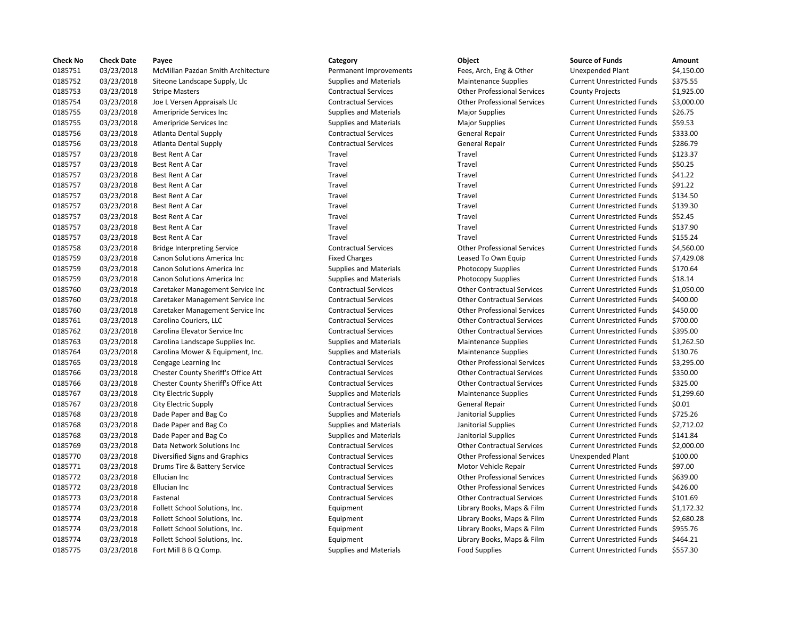| <b>Check No</b> | <b>Check Date</b> | Payee                               | Category                      | Object                             | <b>Source of Funds</b>            | Amount     |
|-----------------|-------------------|-------------------------------------|-------------------------------|------------------------------------|-----------------------------------|------------|
| 0185751         | 03/23/2018        | McMillan Pazdan Smith Architecture  | Permanent Improvements        | Fees, Arch, Eng & Other            | <b>Unexpended Plant</b>           | \$4,150.00 |
| 0185752         | 03/23/2018        | Siteone Landscape Supply, Llc       | <b>Supplies and Materials</b> | <b>Maintenance Supplies</b>        | <b>Current Unrestricted Funds</b> | \$375.55   |
| 0185753         | 03/23/2018        | <b>Stripe Masters</b>               | <b>Contractual Services</b>   | <b>Other Professional Services</b> | <b>County Projects</b>            | \$1,925.00 |
| 0185754         | 03/23/2018        | Joe L Versen Appraisals Llc         | <b>Contractual Services</b>   | <b>Other Professional Services</b> | <b>Current Unrestricted Funds</b> | \$3,000.00 |
| 0185755         | 03/23/2018        | Ameripride Services Inc             | <b>Supplies and Materials</b> | <b>Major Supplies</b>              | <b>Current Unrestricted Funds</b> | \$26.75    |
| 0185755         | 03/23/2018        | Ameripride Services Inc             | <b>Supplies and Materials</b> | <b>Major Supplies</b>              | <b>Current Unrestricted Funds</b> | \$59.53    |
| 0185756         | 03/23/2018        | <b>Atlanta Dental Supply</b>        | <b>Contractual Services</b>   | <b>General Repair</b>              | <b>Current Unrestricted Funds</b> | \$333.00   |
| 0185756         | 03/23/2018        | <b>Atlanta Dental Supply</b>        | <b>Contractual Services</b>   | <b>General Repair</b>              | <b>Current Unrestricted Funds</b> | \$286.79   |
| 0185757         | 03/23/2018        | Best Rent A Car                     | Travel                        | Travel                             | <b>Current Unrestricted Funds</b> | \$123.37   |
| 0185757         | 03/23/2018        | Best Rent A Car                     | Travel                        | Travel                             | <b>Current Unrestricted Funds</b> | \$50.25    |
| 0185757         | 03/23/2018        | Best Rent A Car                     | Travel                        | Travel                             | <b>Current Unrestricted Funds</b> | \$41.22    |
| 0185757         | 03/23/2018        | Best Rent A Car                     | Travel                        | Travel                             | <b>Current Unrestricted Funds</b> | \$91.22    |
| 0185757         | 03/23/2018        | Best Rent A Car                     | Travel                        | Travel                             | <b>Current Unrestricted Funds</b> | \$134.50   |
| 0185757         | 03/23/2018        | Best Rent A Car                     | Travel                        | Travel                             | <b>Current Unrestricted Funds</b> | \$139.30   |
| 0185757         | 03/23/2018        | Best Rent A Car                     | Travel                        | Travel                             | <b>Current Unrestricted Funds</b> | \$52.45    |
| 0185757         |                   |                                     | Travel                        | Travel                             |                                   | \$137.90   |
|                 | 03/23/2018        | Best Rent A Car                     | Travel                        | Travel                             | <b>Current Unrestricted Funds</b> |            |
| 0185757         | 03/23/2018        | Best Rent A Car                     |                               |                                    | <b>Current Unrestricted Funds</b> | \$155.24   |
| 0185758         | 03/23/2018        | <b>Bridge Interpreting Service</b>  | <b>Contractual Services</b>   | <b>Other Professional Services</b> | <b>Current Unrestricted Funds</b> | \$4,560.00 |
| 0185759         | 03/23/2018        | Canon Solutions America Inc         | <b>Fixed Charges</b>          | Leased To Own Equip                | <b>Current Unrestricted Funds</b> | \$7,429.08 |
| 0185759         | 03/23/2018        | Canon Solutions America Inc         | <b>Supplies and Materials</b> | Photocopy Supplies                 | <b>Current Unrestricted Funds</b> | \$170.64   |
| 0185759         | 03/23/2018        | Canon Solutions America Inc         | <b>Supplies and Materials</b> | Photocopy Supplies                 | <b>Current Unrestricted Funds</b> | \$18.14    |
| 0185760         | 03/23/2018        | Caretaker Management Service Inc    | <b>Contractual Services</b>   | <b>Other Contractual Services</b>  | <b>Current Unrestricted Funds</b> | \$1,050.00 |
| 0185760         | 03/23/2018        | Caretaker Management Service Inc    | <b>Contractual Services</b>   | <b>Other Contractual Services</b>  | <b>Current Unrestricted Funds</b> | \$400.00   |
| 0185760         | 03/23/2018        | Caretaker Management Service Inc    | <b>Contractual Services</b>   | <b>Other Professional Services</b> | <b>Current Unrestricted Funds</b> | \$450.00   |
| 0185761         | 03/23/2018        | Carolina Couriers, LLC              | <b>Contractual Services</b>   | <b>Other Contractual Services</b>  | <b>Current Unrestricted Funds</b> | \$700.00   |
| 0185762         | 03/23/2018        | Carolina Elevator Service Inc       | <b>Contractual Services</b>   | <b>Other Contractual Services</b>  | <b>Current Unrestricted Funds</b> | \$395.00   |
| 0185763         | 03/23/2018        | Carolina Landscape Supplies Inc.    | <b>Supplies and Materials</b> | <b>Maintenance Supplies</b>        | <b>Current Unrestricted Funds</b> | \$1,262.50 |
| 0185764         | 03/23/2018        | Carolina Mower & Equipment, Inc.    | <b>Supplies and Materials</b> | <b>Maintenance Supplies</b>        | <b>Current Unrestricted Funds</b> | \$130.76   |
| 0185765         | 03/23/2018        | Cengage Learning Inc                | <b>Contractual Services</b>   | <b>Other Professional Services</b> | <b>Current Unrestricted Funds</b> | \$3,295.00 |
| 0185766         | 03/23/2018        | Chester County Sheriff's Office Att | <b>Contractual Services</b>   | <b>Other Contractual Services</b>  | <b>Current Unrestricted Funds</b> | \$350.00   |
| 0185766         | 03/23/2018        | Chester County Sheriff's Office Att | <b>Contractual Services</b>   | <b>Other Contractual Services</b>  | <b>Current Unrestricted Funds</b> | \$325.00   |
| 0185767         | 03/23/2018        | City Electric Supply                | <b>Supplies and Materials</b> | <b>Maintenance Supplies</b>        | <b>Current Unrestricted Funds</b> | \$1,299.60 |
| 0185767         | 03/23/2018        | City Electric Supply                | <b>Contractual Services</b>   | <b>General Repair</b>              | <b>Current Unrestricted Funds</b> | \$0.01     |
| 0185768         | 03/23/2018        | Dade Paper and Bag Co               | <b>Supplies and Materials</b> | Janitorial Supplies                | <b>Current Unrestricted Funds</b> | \$725.26   |
| 0185768         | 03/23/2018        | Dade Paper and Bag Co               | <b>Supplies and Materials</b> | Janitorial Supplies                | <b>Current Unrestricted Funds</b> | \$2,712.02 |
| 0185768         | 03/23/2018        | Dade Paper and Bag Co               | <b>Supplies and Materials</b> | Janitorial Supplies                | <b>Current Unrestricted Funds</b> | \$141.84   |
| 0185769         | 03/23/2018        | Data Network Solutions Inc          | <b>Contractual Services</b>   | <b>Other Contractual Services</b>  | <b>Current Unrestricted Funds</b> | \$2,000.00 |
| 0185770         | 03/23/2018        | Diversified Signs and Graphics      | <b>Contractual Services</b>   | <b>Other Professional Services</b> | <b>Unexpended Plant</b>           | \$100.00   |
| 0185771         | 03/23/2018        | Drums Tire & Battery Service        | <b>Contractual Services</b>   | Motor Vehicle Repair               | <b>Current Unrestricted Funds</b> | \$97.00    |
| 0185772         | 03/23/2018        | Ellucian Inc                        | <b>Contractual Services</b>   | <b>Other Professional Services</b> | <b>Current Unrestricted Funds</b> | \$639.00   |
| 0185772         | 03/23/2018        | Ellucian Inc                        | <b>Contractual Services</b>   | <b>Other Professional Services</b> | <b>Current Unrestricted Funds</b> | \$426.00   |
| 0185773         | 03/23/2018        | Fastenal                            | <b>Contractual Services</b>   | <b>Other Contractual Services</b>  | <b>Current Unrestricted Funds</b> | \$101.69   |
| 0185774         | 03/23/2018        | Follett School Solutions, Inc.      | Equipment                     | Library Books, Maps & Film         | <b>Current Unrestricted Funds</b> | \$1,172.32 |
| 0185774         | 03/23/2018        | Follett School Solutions, Inc.      | Equipment                     | Library Books, Maps & Film         | <b>Current Unrestricted Funds</b> | \$2,680.28 |
| 0185774         | 03/23/2018        | Follett School Solutions, Inc.      | Equipment                     | Library Books, Maps & Film         | <b>Current Unrestricted Funds</b> | \$955.76   |
| 0185774         | 03/23/2018        | Follett School Solutions, Inc.      | Equipment                     | Library Books, Maps & Film         | <b>Current Unrestricted Funds</b> | \$464.21   |
| 0185775         | 03/23/2018        | Fort Mill B B Q Comp.               | <b>Supplies and Materials</b> | <b>Food Supplies</b>               | <b>Current Unrestricted Funds</b> | \$557.30   |
|                 |                   |                                     |                               |                                    |                                   |            |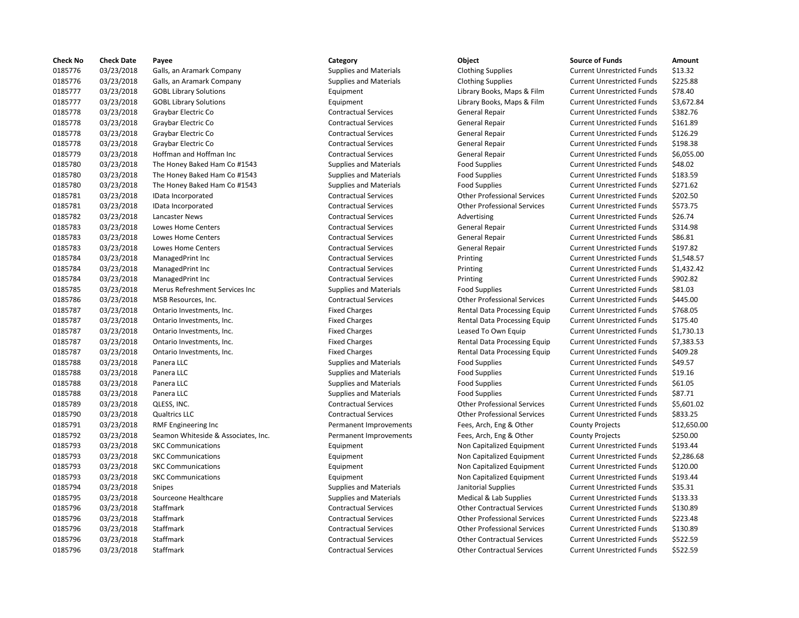| <b>Check No</b> | <b>Check Date</b> | Payee                               | Category                      | Object                             | <b>Source of Funds</b>            | Amount     |
|-----------------|-------------------|-------------------------------------|-------------------------------|------------------------------------|-----------------------------------|------------|
| 0185776         | 03/23/2018        | Galls, an Aramark Company           | <b>Supplies and Materials</b> | <b>Clothing Supplies</b>           | <b>Current Unrestricted Funds</b> | \$13.32    |
| 0185776         | 03/23/2018        | Galls, an Aramark Company           | <b>Supplies and Materials</b> | <b>Clothing Supplies</b>           | <b>Current Unrestricted Funds</b> | \$225.88   |
| 0185777         | 03/23/2018        | <b>GOBL Library Solutions</b>       | Equipment                     | Library Books, Maps & Film         | <b>Current Unrestricted Funds</b> | \$78.40    |
| 0185777         | 03/23/2018        | <b>GOBL Library Solutions</b>       | Equipment                     | Library Books, Maps & Film         | <b>Current Unrestricted Funds</b> | \$3,672.84 |
| 0185778         | 03/23/2018        | Graybar Electric Co                 | <b>Contractual Services</b>   | <b>General Repair</b>              | <b>Current Unrestricted Funds</b> | \$382.76   |
| 0185778         | 03/23/2018        | Graybar Electric Co                 | <b>Contractual Services</b>   | General Repair                     | <b>Current Unrestricted Funds</b> | \$161.89   |
| 0185778         | 03/23/2018        | Graybar Electric Co                 | <b>Contractual Services</b>   | General Repair                     | <b>Current Unrestricted Funds</b> | \$126.29   |
| 0185778         | 03/23/2018        | Graybar Electric Co                 | <b>Contractual Services</b>   | General Repair                     | <b>Current Unrestricted Funds</b> | \$198.38   |
| 0185779         | 03/23/2018        | Hoffman and Hoffman Inc             | <b>Contractual Services</b>   | <b>General Repair</b>              | <b>Current Unrestricted Funds</b> | \$6,055.00 |
| 0185780         | 03/23/2018        | The Honey Baked Ham Co #1543        | <b>Supplies and Materials</b> | <b>Food Supplies</b>               | <b>Current Unrestricted Funds</b> | \$48.02    |
| 0185780         | 03/23/2018        | The Honey Baked Ham Co #1543        | <b>Supplies and Materials</b> | <b>Food Supplies</b>               | <b>Current Unrestricted Funds</b> | \$183.59   |
| 0185780         | 03/23/2018        | The Honey Baked Ham Co #1543        | <b>Supplies and Materials</b> | <b>Food Supplies</b>               | <b>Current Unrestricted Funds</b> | \$271.62   |
| 0185781         | 03/23/2018        | IData Incorporated                  | <b>Contractual Services</b>   | <b>Other Professional Services</b> | <b>Current Unrestricted Funds</b> | \$202.50   |
| 0185781         | 03/23/2018        | IData Incorporated                  | <b>Contractual Services</b>   | <b>Other Professional Services</b> | <b>Current Unrestricted Funds</b> | \$573.75   |
| 0185782         | 03/23/2018        | Lancaster News                      | <b>Contractual Services</b>   | Advertising                        | <b>Current Unrestricted Funds</b> | \$26.74    |
| 0185783         | 03/23/2018        | Lowes Home Centers                  | <b>Contractual Services</b>   | <b>General Repair</b>              | <b>Current Unrestricted Funds</b> | \$314.98   |
| 0185783         | 03/23/2018        | <b>Lowes Home Centers</b>           | <b>Contractual Services</b>   | General Repair                     | <b>Current Unrestricted Funds</b> | \$86.81    |
| 0185783         | 03/23/2018        | Lowes Home Centers                  | <b>Contractual Services</b>   | <b>General Repair</b>              | <b>Current Unrestricted Funds</b> | \$197.82   |
| 0185784         | 03/23/2018        | ManagedPrint Inc                    | <b>Contractual Services</b>   | Printing                           | <b>Current Unrestricted Funds</b> | \$1,548.57 |
| 0185784         | 03/23/2018        | ManagedPrint Inc                    | <b>Contractual Services</b>   | Printing                           | <b>Current Unrestricted Funds</b> | \$1,432.42 |
| 0185784         | 03/23/2018        | ManagedPrint Inc                    | <b>Contractual Services</b>   | Printing                           | <b>Current Unrestricted Funds</b> | \$902.82   |
| 0185785         | 03/23/2018        | Merus Refreshment Services Inc      | <b>Supplies and Materials</b> | <b>Food Supplies</b>               | <b>Current Unrestricted Funds</b> | \$81.03    |
| 0185786         | 03/23/2018        | MSB Resources, Inc.                 | <b>Contractual Services</b>   | <b>Other Professional Services</b> | <b>Current Unrestricted Funds</b> | \$445.00   |
| 0185787         | 03/23/2018        | Ontario Investments, Inc.           | <b>Fixed Charges</b>          | Rental Data Processing Equip       | <b>Current Unrestricted Funds</b> | \$768.05   |
| 0185787         | 03/23/2018        | Ontario Investments, Inc.           | <b>Fixed Charges</b>          | Rental Data Processing Equip       | <b>Current Unrestricted Funds</b> | \$175.40   |
| 0185787         | 03/23/2018        | Ontario Investments, Inc.           | <b>Fixed Charges</b>          | Leased To Own Equip                | <b>Current Unrestricted Funds</b> | \$1,730.13 |
| 0185787         | 03/23/2018        | Ontario Investments, Inc.           | <b>Fixed Charges</b>          | Rental Data Processing Equip       | <b>Current Unrestricted Funds</b> | \$7,383.53 |
| 0185787         | 03/23/2018        | Ontario Investments, Inc.           | <b>Fixed Charges</b>          | Rental Data Processing Equip       | <b>Current Unrestricted Funds</b> | \$409.28   |
| 0185788         | 03/23/2018        | Panera LLC                          | <b>Supplies and Materials</b> | <b>Food Supplies</b>               | <b>Current Unrestricted Funds</b> | \$49.57    |
| 0185788         | 03/23/2018        | Panera LLC                          | <b>Supplies and Materials</b> | <b>Food Supplies</b>               | <b>Current Unrestricted Funds</b> | \$19.16    |
| 0185788         | 03/23/2018        | Panera LLC                          | <b>Supplies and Materials</b> | <b>Food Supplies</b>               | <b>Current Unrestricted Funds</b> | \$61.05    |
| 0185788         | 03/23/2018        | Panera LLC                          | <b>Supplies and Materials</b> | <b>Food Supplies</b>               | <b>Current Unrestricted Funds</b> | \$87.71    |
| 0185789         | 03/23/2018        | QLESS, INC.                         | <b>Contractual Services</b>   | <b>Other Professional Services</b> | <b>Current Unrestricted Funds</b> | \$5,601.02 |
| 0185790         | 03/23/2018        | <b>Qualtrics LLC</b>                | <b>Contractual Services</b>   | <b>Other Professional Services</b> | <b>Current Unrestricted Funds</b> | \$833.25   |
| 0185791         | 03/23/2018        | RMF Engineering Inc                 | Permanent Improvements        | Fees, Arch, Eng & Other            | <b>County Projects</b>            | \$12,650.0 |
| 0185792         | 03/23/2018        | Seamon Whiteside & Associates, Inc. | Permanent Improvements        | Fees, Arch, Eng & Other            | <b>County Projects</b>            | \$250.00   |
| 0185793         | 03/23/2018        | <b>SKC Communications</b>           | Equipment                     | Non Capitalized Equipment          | <b>Current Unrestricted Funds</b> | \$193.44   |
| 0185793         | 03/23/2018        | <b>SKC Communications</b>           | Equipment                     | Non Capitalized Equipment          | <b>Current Unrestricted Funds</b> | \$2,286.68 |
| 0185793         | 03/23/2018        | <b>SKC Communications</b>           | Equipment                     | Non Capitalized Equipment          | <b>Current Unrestricted Funds</b> | \$120.00   |
| 0185793         | 03/23/2018        | <b>SKC Communications</b>           | Equipment                     | Non Capitalized Equipment          | <b>Current Unrestricted Funds</b> | \$193.44   |
| 0185794         | 03/23/2018        | <b>Snipes</b>                       | <b>Supplies and Materials</b> | Janitorial Supplies                | <b>Current Unrestricted Funds</b> | \$35.31    |
| 0185795         | 03/23/2018        | Sourceone Healthcare                | <b>Supplies and Materials</b> | Medical & Lab Supplies             | <b>Current Unrestricted Funds</b> | \$133.33   |
| 0185796         | 03/23/2018        | Staffmark                           | <b>Contractual Services</b>   | <b>Other Contractual Services</b>  | <b>Current Unrestricted Funds</b> | \$130.89   |
| 0185796         | 03/23/2018        | Staffmark                           | <b>Contractual Services</b>   | <b>Other Professional Services</b> | <b>Current Unrestricted Funds</b> | \$223.48   |
| 0185796         | 03/23/2018        | Staffmark                           | <b>Contractual Services</b>   | <b>Other Professional Services</b> | <b>Current Unrestricted Funds</b> | \$130.89   |
| 0185796         | 03/23/2018        | Staffmark                           | <b>Contractual Services</b>   | <b>Other Contractual Services</b>  | <b>Current Unrestricted Funds</b> | \$522.59   |
| 0185796         | 03/23/2018        | Staffmark                           | <b>Contractual Services</b>   | <b>Other Contractual Services</b>  | <b>Current Unrestricted Funds</b> | \$522.59   |
|                 |                   |                                     |                               |                                    |                                   |            |

# 0185796 03/23/2018 Staffmark Contractual Services Other Contractual Services Current Unrestricted Funds \$522.59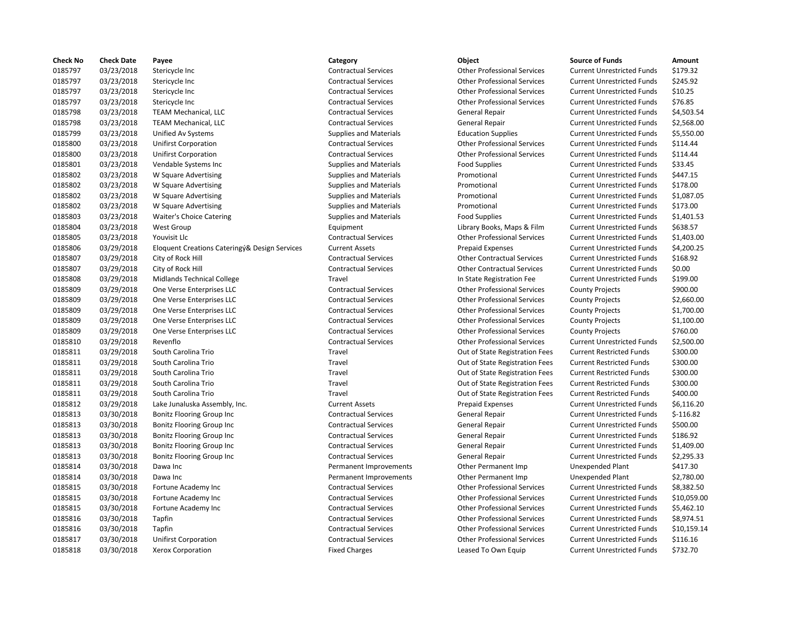| <b>Check No</b> | <b>Check Date</b> | Payee                                         | Category                      | Object                             | <b>Source of Funds</b>            | <b>Amount</b> |
|-----------------|-------------------|-----------------------------------------------|-------------------------------|------------------------------------|-----------------------------------|---------------|
| 0185797         | 03/23/2018        | Stericycle Inc                                | <b>Contractual Services</b>   | <b>Other Professional Services</b> | <b>Current Unrestricted Funds</b> | \$179.32      |
| 0185797         | 03/23/2018        | Stericycle Inc                                | <b>Contractual Services</b>   | <b>Other Professional Services</b> | <b>Current Unrestricted Funds</b> | \$245.92      |
| 0185797         | 03/23/2018        | Stericycle Inc                                | <b>Contractual Services</b>   | <b>Other Professional Services</b> | <b>Current Unrestricted Funds</b> | \$10.25       |
| 0185797         | 03/23/2018        | Stericycle Inc                                | <b>Contractual Services</b>   | <b>Other Professional Services</b> | <b>Current Unrestricted Funds</b> | \$76.85       |
| 0185798         | 03/23/2018        | <b>TEAM Mechanical, LLC</b>                   | <b>Contractual Services</b>   | General Repair                     | <b>Current Unrestricted Funds</b> | \$4,503.54    |
| 0185798         | 03/23/2018        | <b>TEAM Mechanical, LLC</b>                   | <b>Contractual Services</b>   | General Repair                     | <b>Current Unrestricted Funds</b> | \$2,568.00    |
| 0185799         | 03/23/2018        | Unified Av Systems                            | <b>Supplies and Materials</b> | <b>Education Supplies</b>          | <b>Current Unrestricted Funds</b> | \$5,550.00    |
| 0185800         | 03/23/2018        | <b>Unifirst Corporation</b>                   | <b>Contractual Services</b>   | <b>Other Professional Services</b> | <b>Current Unrestricted Funds</b> | \$114.44      |
| 0185800         | 03/23/2018        | <b>Unifirst Corporation</b>                   | <b>Contractual Services</b>   | <b>Other Professional Services</b> | <b>Current Unrestricted Funds</b> | \$114.44      |
| 0185801         | 03/23/2018        | Vendable Systems Inc                          | <b>Supplies and Materials</b> | <b>Food Supplies</b>               | <b>Current Unrestricted Funds</b> | \$33.45       |
| 0185802         | 03/23/2018        | W Square Advertising                          | <b>Supplies and Materials</b> | Promotional                        | <b>Current Unrestricted Funds</b> | \$447.15      |
| 0185802         | 03/23/2018        | W Square Advertising                          | <b>Supplies and Materials</b> | Promotional                        | <b>Current Unrestricted Funds</b> | \$178.00      |
| 0185802         | 03/23/2018        | W Square Advertising                          | <b>Supplies and Materials</b> | Promotional                        | <b>Current Unrestricted Funds</b> | \$1,087.05    |
| 0185802         | 03/23/2018        | W Square Advertising                          | <b>Supplies and Materials</b> | Promotional                        | <b>Current Unrestricted Funds</b> | \$173.00      |
| 0185803         | 03/23/2018        | Waiter's Choice Catering                      | <b>Supplies and Materials</b> | <b>Food Supplies</b>               | <b>Current Unrestricted Funds</b> | \$1,401.53    |
| 0185804         | 03/23/2018        | West Group                                    | Equipment                     | Library Books, Maps & Film         | <b>Current Unrestricted Funds</b> | \$638.57      |
| 0185805         | 03/23/2018        | Youvisit Llc                                  | <b>Contractual Services</b>   | <b>Other Professional Services</b> | <b>Current Unrestricted Funds</b> | \$1,403.00    |
| 0185806         | 03/29/2018        | Eloquent Creations Cateringy& Design Services | <b>Current Assets</b>         | <b>Prepaid Expenses</b>            | <b>Current Unrestricted Funds</b> | \$4,200.25    |
| 0185807         | 03/29/2018        | City of Rock Hill                             | <b>Contractual Services</b>   | <b>Other Contractual Services</b>  | <b>Current Unrestricted Funds</b> | \$168.92      |
| 0185807         | 03/29/2018        | City of Rock Hill                             | <b>Contractual Services</b>   | <b>Other Contractual Services</b>  | <b>Current Unrestricted Funds</b> | \$0.00        |
| 0185808         | 03/29/2018        | <b>Midlands Technical College</b>             | Travel                        | In State Registration Fee          | <b>Current Unrestricted Funds</b> | \$199.00      |
| 0185809         | 03/29/2018        | One Verse Enterprises LLC                     | <b>Contractual Services</b>   | <b>Other Professional Services</b> | <b>County Projects</b>            | \$900.00      |
| 0185809         | 03/29/2018        | One Verse Enterprises LLC                     | <b>Contractual Services</b>   | <b>Other Professional Services</b> | <b>County Projects</b>            | \$2,660.00    |
| 0185809         | 03/29/2018        | One Verse Enterprises LLC                     | <b>Contractual Services</b>   | <b>Other Professional Services</b> | <b>County Projects</b>            | \$1,700.00    |
| 0185809         | 03/29/2018        | One Verse Enterprises LLC                     | <b>Contractual Services</b>   | <b>Other Professional Services</b> | <b>County Projects</b>            | \$1,100.00    |
| 0185809         | 03/29/2018        | One Verse Enterprises LLC                     | <b>Contractual Services</b>   | <b>Other Professional Services</b> | <b>County Projects</b>            | \$760.00      |
| 0185810         | 03/29/2018        | Revenflo                                      | <b>Contractual Services</b>   | <b>Other Professional Services</b> | <b>Current Unrestricted Funds</b> | \$2,500.00    |
| 0185811         | 03/29/2018        | South Carolina Trio                           | Travel                        | Out of State Registration Fees     | <b>Current Restricted Funds</b>   | \$300.00      |
| 0185811         | 03/29/2018        | South Carolina Trio                           | Travel                        | Out of State Registration Fees     | <b>Current Restricted Funds</b>   | \$300.00      |
| 0185811         | 03/29/2018        | South Carolina Trio                           | Travel                        | Out of State Registration Fees     | <b>Current Restricted Funds</b>   | \$300.00      |
| 0185811         | 03/29/2018        | South Carolina Trio                           | Travel                        | Out of State Registration Fees     | <b>Current Restricted Funds</b>   | \$300.00      |
| 0185811         | 03/29/2018        | South Carolina Trio                           | Travel                        | Out of State Registration Fees     | <b>Current Restricted Funds</b>   | \$400.00      |
| 0185812         | 03/29/2018        | Lake Junaluska Assembly, Inc.                 | <b>Current Assets</b>         | <b>Prepaid Expenses</b>            | <b>Current Unrestricted Funds</b> | \$6,116.20    |
| 0185813         | 03/30/2018        | Bonitz Flooring Group Inc                     | <b>Contractual Services</b>   | <b>General Repair</b>              | <b>Current Unrestricted Funds</b> | $$-116.82$    |
| 0185813         | 03/30/2018        | Bonitz Flooring Group Inc                     | <b>Contractual Services</b>   | <b>General Repair</b>              | <b>Current Unrestricted Funds</b> | \$500.00      |
| 0185813         | 03/30/2018        | Bonitz Flooring Group Inc                     | <b>Contractual Services</b>   | <b>General Repair</b>              | <b>Current Unrestricted Funds</b> | \$186.92      |
| 0185813         | 03/30/2018        | Bonitz Flooring Group Inc                     | <b>Contractual Services</b>   | General Repair                     | <b>Current Unrestricted Funds</b> | \$1,409.00    |
| 0185813         | 03/30/2018        | Bonitz Flooring Group Inc                     | <b>Contractual Services</b>   | General Repair                     | <b>Current Unrestricted Funds</b> | \$2,295.33    |
| 0185814         | 03/30/2018        | Dawa Inc                                      | Permanent Improvements        | Other Permanent Imp                | Unexpended Plant                  | \$417.30      |
| 0185814         | 03/30/2018        | Dawa Inc                                      | Permanent Improvements        | Other Permanent Imp                | Unexpended Plant                  | \$2,780.00    |
| 0185815         | 03/30/2018        | Fortune Academy Inc                           | <b>Contractual Services</b>   | <b>Other Professional Services</b> | <b>Current Unrestricted Funds</b> | \$8,382.50    |
| 0185815         | 03/30/2018        | Fortune Academy Inc                           | <b>Contractual Services</b>   | <b>Other Professional Services</b> | <b>Current Unrestricted Funds</b> | \$10,059.00   |
| 0185815         | 03/30/2018        | Fortune Academy Inc                           | <b>Contractual Services</b>   | <b>Other Professional Services</b> | <b>Current Unrestricted Funds</b> | \$5,462.10    |
| 0185816         | 03/30/2018        | Tapfin                                        | <b>Contractual Services</b>   | <b>Other Professional Services</b> | <b>Current Unrestricted Funds</b> | \$8,974.51    |
| 0185816         | 03/30/2018        | Tapfin                                        | <b>Contractual Services</b>   | <b>Other Professional Services</b> | <b>Current Unrestricted Funds</b> | \$10,159.14   |
| 0185817         | 03/30/2018        | <b>Unifirst Corporation</b>                   | <b>Contractual Services</b>   | <b>Other Professional Services</b> | <b>Current Unrestricted Funds</b> | \$116.16      |
| 0185818         | 03/30/2018        | Xerox Corporation                             | <b>Fixed Charges</b>          | Leased To Own Equip                | <b>Current Unrestricted Funds</b> | \$732.70      |
|                 |                   |                                               |                               |                                    |                                   |               |

## 03/23/2018 Stericycle Inc Contractual Services Other Professional Services Current Unrestricted Funds \$179.32 Contractual Services **Stephends** Other Professional Services Current Unrestricted Funds \$245.92 03/23/2018 Stericycle Inc Contractual Services Other Professional Services Current Unrestricted Funds \$10.25 03/23/2018 Stericycle Inc Contractual Services Other Professional Services Current Unrestricted Funds \$76.85 Contractual Services **Contractual Services** General Repair **Current Unrestricted Funds** \$4,503.54 Contractual Services **Contractual Services** General Repair **Current Unrestricted Funds** \$2,568.00 03/23/2018 Unified Av Systems Supplies and Materials Education Supplies Current Unrestricted Funds \$5,550.00 03/23/2018 Unifirst Corporation Contractual Services Other Professional Services Current Unrestricted Funds \$114.44 03/23/2018 Unifirst Corporation Contractual Services Other Professional Services Current Unrestricted Funds \$114.44 03/23/2018 Vendable Systems Inc Supplies and Materials Food Supplies Current Unrestricted Funds \$33.45 03/23/2018 W Square Advertising Supplies and Materials Promotional Current Unrestricted Funds \$447.15 03/23/2018 W Square Advertising Supplies and Materials Promotional Current Unrestricted Funds \$178.00 03/23/2018 W Square Advertising Supplies and Materials Promotional Current Unrestricted Funds \$1,087.05 03/23/2018 W Square Advertising Supplies and Materials Promotional Current Unrestricted Funds \$173.00 03/23/2018 Waiter's Choice Catering Supplies and Materials Food Supplies Current Unrestricted Funds \$1,401.53 Equipment Current Library Books, Maps & Film Current Unrestricted Funds \$638.57 03/23/2018 Youvisit Llc Contractual Services Other Professional Services Current Unrestricted Funds \$1,403.00 03/29/2018 Eloquent Creations Cateringý& Design Services Current Assets Prepaid Expenses Current Unrestricted Funds \$4,200.25 03/29/2018 City of Rock Hill Contractual Services Other Contractual Services Current Unrestricted Funds \$168.92 03/29/2018 City of Rock Hill Contractual Services Other Contractual Services Current Unrestricted Funds \$0.00 Travel **12008 1202 In State Registration Fee Current Unrestricted Funds** \$199.00 Contractual Services **CONEC CONSISTENT** Other Professional Services County Projects \$900.00 Contractual Services **CONEC CONSISTED CONTRACT CONTRACT CONTRACT ACCOLLC** Contractual Services County Projects \$2,660.00 03/29/2018 One Verse Enterprises LLC Contractual Services Other Professional Services County Projects \$1,700.00 03/29/2018 One Verse Enterprises LLC Contractual Services Other Professional Services County Projects \$1,100.00 Contractual Services **CONEC CONSISTENT** Other Professional Services County Projects \$760.00 03/29/2018 Revenflo Contractual Services Other Professional Services Current Unrestricted Funds \$2,500.00 Travel **12018 12/2018 South Carolina Travel Current Restricted Funds** 5300.00 Travel **18781 12008 South Carolina Travel Current Restricted Funds** 5300.00 03/29/2018 South Carolina Trio Travel Out of State Registration Fees Current Restricted Funds \$300.00 03/29/2018 South Carolina Trio Travel Out of State Registration Fees Current Restricted Funds \$300.00 Travel **1878** Out of State Registration Fees Current Restricted Funds \$400.00 03/30/2018 Bonitz Flooring Group Inc Contractual Services General Repair Current Unrestricted Funds \$-116.82 03/30/2018 Bonitz Flooring Group Inc Contractual Services General Repair Current Unrestricted Funds \$500.00 Contractual Services **Contractual Services** General Repair **Current Unrestricted Funds** \$186.92 Contractual Services **General Repair** General Repair Current Unrestricted Funds \$2,295.33 Permanent Improvements **Other Permanent Imp** Unexpended Plant \$417.30 Permanent Improvements **Other Permanent Imp** Unexpended Plant \$2,780.00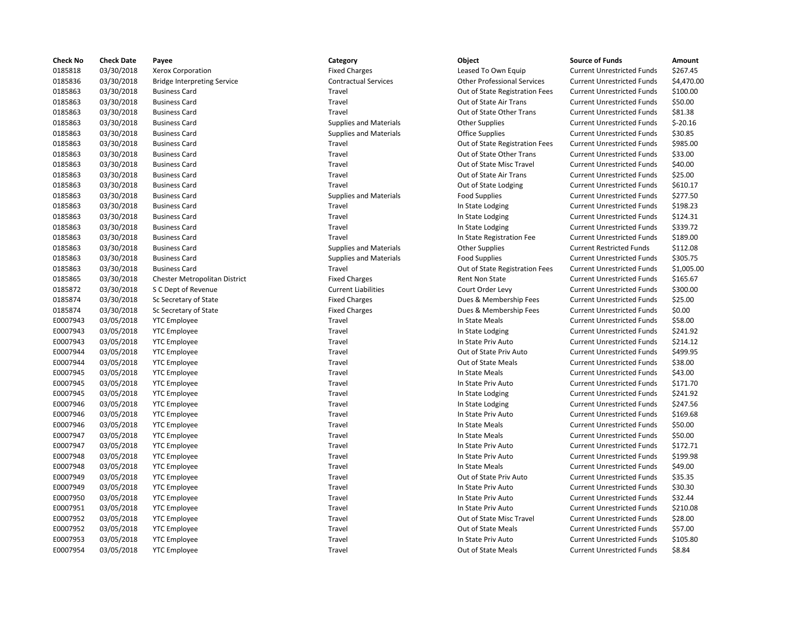| <b>Check No</b>      | <b>Check Date</b>        | Payee                              | Category                      | Object                                         | <b>Source of Funds</b>                                                 | Amount    |
|----------------------|--------------------------|------------------------------------|-------------------------------|------------------------------------------------|------------------------------------------------------------------------|-----------|
| 0185818              | 03/30/2018               | Xerox Corporation                  | <b>Fixed Charges</b>          | Leased To Own Equip                            | <b>Current Unrestricted Funds</b>                                      | \$267.45  |
| 0185836              | 03/30/2018               | <b>Bridge Interpreting Service</b> | <b>Contractual Services</b>   | <b>Other Professional Services</b>             | <b>Current Unrestricted Funds</b>                                      | \$4,470.0 |
| 0185863              | 03/30/2018               | <b>Business Card</b>               | Travel                        | Out of State Registration Fees                 | <b>Current Unrestricted Funds</b>                                      | \$100.00  |
| 0185863              | 03/30/2018               | <b>Business Card</b>               | Travel                        | Out of State Air Trans                         | <b>Current Unrestricted Funds</b>                                      | \$50.00   |
| 0185863              | 03/30/2018               | <b>Business Card</b>               | Travel                        | Out of State Other Trans                       | <b>Current Unrestricted Funds</b>                                      | \$81.38   |
| 0185863              | 03/30/2018               | <b>Business Card</b>               | <b>Supplies and Materials</b> | <b>Other Supplies</b>                          | <b>Current Unrestricted Funds</b>                                      | $$-20.16$ |
| 0185863              | 03/30/2018               | <b>Business Card</b>               | <b>Supplies and Materials</b> | <b>Office Supplies</b>                         | <b>Current Unrestricted Funds</b>                                      | \$30.85   |
| 0185863              | 03/30/2018               | <b>Business Card</b>               | Travel                        | Out of State Registration Fees                 | <b>Current Unrestricted Funds</b>                                      | \$985.00  |
| 0185863              | 03/30/2018               | <b>Business Card</b>               | Travel                        | Out of State Other Trans                       | <b>Current Unrestricted Funds</b>                                      | \$33.00   |
| 0185863              | 03/30/2018               | <b>Business Card</b>               | Travel                        | Out of State Misc Travel                       | <b>Current Unrestricted Funds</b>                                      | \$40.00   |
| 0185863              | 03/30/2018               | <b>Business Card</b>               | Travel                        | Out of State Air Trans                         | <b>Current Unrestricted Funds</b>                                      | \$25.00   |
| 0185863              | 03/30/2018               | <b>Business Card</b>               | Travel                        | Out of State Lodging                           | <b>Current Unrestricted Funds</b>                                      | \$610.17  |
| 0185863              | 03/30/2018               | <b>Business Card</b>               | <b>Supplies and Materials</b> | <b>Food Supplies</b>                           | <b>Current Unrestricted Funds</b>                                      | \$277.50  |
| 0185863              | 03/30/2018               | <b>Business Card</b>               | Travel                        | In State Lodging                               | <b>Current Unrestricted Funds</b>                                      | \$198.23  |
| 0185863              | 03/30/2018               | <b>Business Card</b>               | Travel                        | In State Lodging                               | <b>Current Unrestricted Funds</b>                                      | \$124.31  |
| 0185863              | 03/30/2018               | <b>Business Card</b>               | Travel                        | In State Lodging                               | <b>Current Unrestricted Funds</b>                                      | \$339.72  |
| 0185863              | 03/30/2018               | <b>Business Card</b>               | Travel                        | In State Registration Fee                      | <b>Current Unrestricted Funds</b>                                      | \$189.00  |
| 0185863              | 03/30/2018               | <b>Business Card</b>               | <b>Supplies and Materials</b> | <b>Other Supplies</b>                          | <b>Current Restricted Funds</b>                                        | \$112.08  |
| 0185863              | 03/30/2018               | <b>Business Card</b>               | <b>Supplies and Materials</b> | <b>Food Supplies</b>                           | <b>Current Unrestricted Funds</b>                                      | \$305.75  |
| 0185863              | 03/30/2018               | <b>Business Card</b>               | Travel                        | Out of State Registration Fees                 | <b>Current Unrestricted Funds</b>                                      | \$1,005.0 |
| 0185865              | 03/30/2018               | Chester Metropolitan District      | <b>Fixed Charges</b>          | Rent Non State                                 | <b>Current Unrestricted Funds</b>                                      | \$165.67  |
| 0185872              | 03/30/2018               | S C Dept of Revenue                | <b>Current Liabilities</b>    | Court Order Levy                               | <b>Current Unrestricted Funds</b>                                      | \$300.00  |
| 0185874              | 03/30/2018               | Sc Secretary of State              | <b>Fixed Charges</b>          | Dues & Membership Fees                         | <b>Current Unrestricted Funds</b>                                      | \$25.00   |
| 0185874              | 03/30/2018               | Sc Secretary of State              | <b>Fixed Charges</b>          | Dues & Membership Fees                         | <b>Current Unrestricted Funds</b>                                      | \$0.00    |
| E0007943             | 03/05/2018               | <b>YTC Employee</b>                | Travel                        | In State Meals                                 | <b>Current Unrestricted Funds</b>                                      | \$58.00   |
| E0007943             | 03/05/2018               | <b>YTC Employee</b>                | Travel                        | In State Lodging                               | <b>Current Unrestricted Funds</b>                                      | \$241.92  |
| E0007943             | 03/05/2018               | <b>YTC Employee</b>                | Travel                        | In State Priv Auto                             | <b>Current Unrestricted Funds</b>                                      | \$214.12  |
| E0007944             | 03/05/2018               | <b>YTC Employee</b>                | Travel                        | Out of State Priv Auto                         | <b>Current Unrestricted Funds</b>                                      | \$499.95  |
| E0007944             | 03/05/2018               | <b>YTC Employee</b>                | Travel                        | Out of State Meals                             | <b>Current Unrestricted Funds</b>                                      | \$38.00   |
| E0007945             | 03/05/2018               | <b>YTC Employee</b>                | Travel                        | In State Meals                                 | <b>Current Unrestricted Funds</b>                                      | \$43.00   |
| E0007945             | 03/05/2018               | <b>YTC Employee</b>                | Travel                        | In State Priv Auto                             | <b>Current Unrestricted Funds</b>                                      | \$171.70  |
| E0007945             | 03/05/2018               | <b>YTC Employee</b>                | Travel                        | In State Lodging                               | <b>Current Unrestricted Funds</b>                                      | \$241.92  |
| E0007946             | 03/05/2018               | <b>YTC Employee</b>                | Travel                        | In State Lodging                               | <b>Current Unrestricted Funds</b>                                      | \$247.56  |
| E0007946             | 03/05/2018               | <b>YTC Employee</b>                | Travel                        | In State Priv Auto                             | <b>Current Unrestricted Funds</b>                                      | \$169.68  |
| E0007946             | 03/05/2018               | <b>YTC Employee</b>                | Travel                        | In State Meals                                 | <b>Current Unrestricted Funds</b>                                      | \$50.00   |
| E0007947             | 03/05/2018               | <b>YTC Employee</b>                | Travel                        | In State Meals                                 | <b>Current Unrestricted Funds</b>                                      | \$50.00   |
| E0007947             | 03/05/2018               | <b>YTC Employee</b>                | Travel                        | In State Priv Auto                             | <b>Current Unrestricted Funds</b>                                      | \$172.71  |
| E0007948             | 03/05/2018               | <b>YTC Employee</b>                | Travel                        | In State Priv Auto                             | <b>Current Unrestricted Funds</b>                                      | \$199.98  |
| E0007948             | 03/05/2018               | <b>YTC Employee</b>                | Travel                        | In State Meals                                 | <b>Current Unrestricted Funds</b>                                      | \$49.00   |
| E0007949             | 03/05/2018               | <b>YTC Employee</b>                | Travel                        | Out of State Priv Auto                         | <b>Current Unrestricted Funds</b>                                      | \$35.35   |
| E0007949             | 03/05/2018               | <b>YTC Employee</b>                | Travel                        | In State Priv Auto                             | <b>Current Unrestricted Funds</b>                                      | \$30.30   |
| E0007950             | 03/05/2018               |                                    | Travel                        | In State Priv Auto                             | <b>Current Unrestricted Funds</b>                                      | \$32.44   |
|                      |                          | <b>YTC Employee</b>                | Travel                        | In State Priv Auto                             |                                                                        | \$210.08  |
| E0007951<br>E0007952 | 03/05/2018               | <b>YTC Employee</b>                | Travel                        |                                                | <b>Current Unrestricted Funds</b>                                      | \$28.00   |
| E0007952             | 03/05/2018<br>03/05/2018 | <b>YTC Employee</b>                | Travel                        | Out of State Misc Travel<br>Out of State Meals | <b>Current Unrestricted Funds</b><br><b>Current Unrestricted Funds</b> | \$57.00   |
|                      |                          | <b>YTC Employee</b>                |                               |                                                |                                                                        |           |
| E0007953             | 03/05/2018               | <b>YTC Employee</b>                | Travel                        | In State Priv Auto                             | <b>Current Unrestricted Funds</b>                                      | \$105.80  |
| E0007954             | 03/05/2018               | <b>YTC Employee</b>                | Travel                        | Out of State Meals                             | <b>Current Unrestricted Funds</b>                                      | \$8.84    |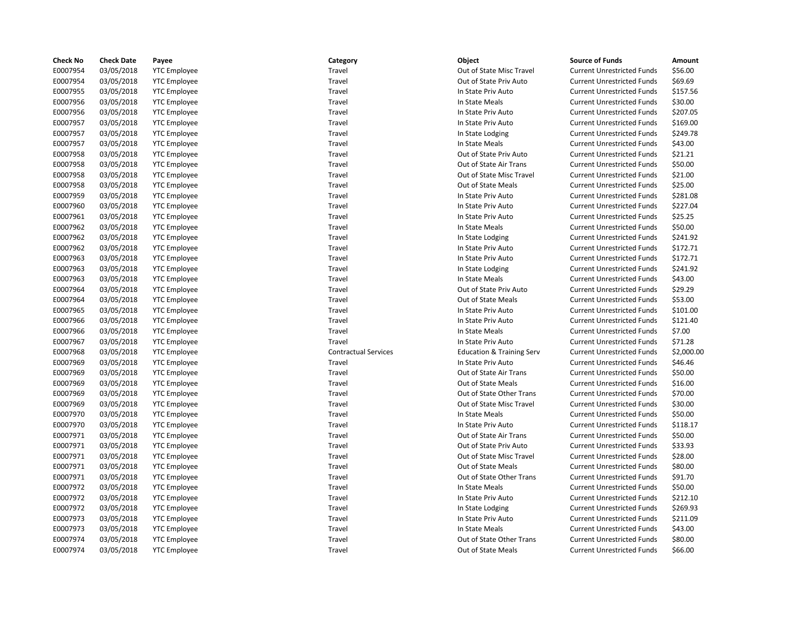| <b>Check No</b> | <b>Check Date</b> | Payee               | Category                    | Object                               | <b>Source of Funds</b>            | Amount    |
|-----------------|-------------------|---------------------|-----------------------------|--------------------------------------|-----------------------------------|-----------|
| E0007954        | 03/05/2018        | <b>YTC Employee</b> | Travel                      | Out of State Misc Travel             | <b>Current Unrestricted Funds</b> | \$56.00   |
| E0007954        | 03/05/2018        | <b>YTC Employee</b> | Travel                      | Out of State Priv Auto               | <b>Current Unrestricted Funds</b> | \$69.69   |
| E0007955        | 03/05/2018        | <b>YTC Employee</b> | Travel                      | In State Priv Auto                   | <b>Current Unrestricted Funds</b> | \$157.56  |
| E0007956        | 03/05/2018        | <b>YTC Employee</b> | Travel                      | In State Meals                       | <b>Current Unrestricted Funds</b> | \$30.00   |
| E0007956        | 03/05/2018        | <b>YTC Employee</b> | Travel                      | In State Priv Auto                   | <b>Current Unrestricted Funds</b> | \$207.05  |
| E0007957        | 03/05/2018        | <b>YTC Employee</b> | Travel                      | In State Priv Auto                   | <b>Current Unrestricted Funds</b> | \$169.00  |
| E0007957        | 03/05/2018        | <b>YTC Employee</b> | Travel                      | In State Lodging                     | <b>Current Unrestricted Funds</b> | \$249.78  |
| E0007957        | 03/05/2018        | <b>YTC Employee</b> | Travel                      | In State Meals                       | <b>Current Unrestricted Funds</b> | \$43.00   |
| E0007958        | 03/05/2018        | <b>YTC Employee</b> | Travel                      | Out of State Priv Auto               | <b>Current Unrestricted Funds</b> | \$21.21   |
| E0007958        | 03/05/2018        | <b>YTC Employee</b> | Travel                      | Out of State Air Trans               | <b>Current Unrestricted Funds</b> | \$50.00   |
| E0007958        | 03/05/2018        | <b>YTC Employee</b> | Travel                      | Out of State Misc Travel             | <b>Current Unrestricted Funds</b> | \$21.00   |
| E0007958        | 03/05/2018        | <b>YTC Employee</b> | Travel                      | Out of State Meals                   | <b>Current Unrestricted Funds</b> | \$25.00   |
| E0007959        | 03/05/2018        | <b>YTC Employee</b> | Travel                      | In State Priv Auto                   | <b>Current Unrestricted Funds</b> | \$281.08  |
| E0007960        | 03/05/2018        | <b>YTC Employee</b> | Travel                      | In State Priv Auto                   | <b>Current Unrestricted Funds</b> | \$227.04  |
| E0007961        | 03/05/2018        | <b>YTC Employee</b> | Travel                      | In State Priv Auto                   | <b>Current Unrestricted Funds</b> | \$25.25   |
| E0007962        | 03/05/2018        | <b>YTC</b> Employee | Travel                      | In State Meals                       | <b>Current Unrestricted Funds</b> | \$50.00   |
| E0007962        | 03/05/2018        | <b>YTC Employee</b> | Travel                      | In State Lodging                     | <b>Current Unrestricted Funds</b> | \$241.92  |
| E0007962        | 03/05/2018        | <b>YTC</b> Employee | Travel                      | In State Priv Auto                   | <b>Current Unrestricted Funds</b> | \$172.71  |
| E0007963        | 03/05/2018        | <b>YTC Employee</b> | Travel                      | In State Priv Auto                   | <b>Current Unrestricted Funds</b> | \$172.71  |
| E0007963        | 03/05/2018        | <b>YTC Employee</b> | Travel                      | In State Lodging                     | <b>Current Unrestricted Funds</b> | \$241.92  |
| E0007963        | 03/05/2018        | <b>YTC Employee</b> | Travel                      | In State Meals                       | <b>Current Unrestricted Funds</b> | \$43.00   |
| E0007964        | 03/05/2018        | <b>YTC Employee</b> | Travel                      | Out of State Priv Auto               | <b>Current Unrestricted Funds</b> | \$29.29   |
| E0007964        | 03/05/2018        | <b>YTC</b> Employee | Travel                      | Out of State Meals                   | <b>Current Unrestricted Funds</b> | \$53.00   |
| E0007965        | 03/05/2018        | <b>YTC Employee</b> | Travel                      | In State Priv Auto                   | <b>Current Unrestricted Funds</b> | \$101.00  |
| E0007966        | 03/05/2018        | <b>YTC</b> Employee | Travel                      | In State Priv Auto                   | <b>Current Unrestricted Funds</b> | \$121.40  |
| E0007966        | 03/05/2018        | <b>YTC Employee</b> | Travel                      | In State Meals                       | <b>Current Unrestricted Funds</b> | \$7.00    |
| E0007967        | 03/05/2018        | <b>YTC Employee</b> | Travel                      | In State Priv Auto                   | <b>Current Unrestricted Funds</b> | \$71.28   |
| E0007968        | 03/05/2018        | <b>YTC Employee</b> | <b>Contractual Services</b> | <b>Education &amp; Training Serv</b> | <b>Current Unrestricted Funds</b> | \$2,000.0 |
| E0007969        | 03/05/2018        | <b>YTC Employee</b> | Travel                      | In State Priv Auto                   | <b>Current Unrestricted Funds</b> | \$46.46   |
| E0007969        | 03/05/2018        | <b>YTC</b> Employee | Travel                      | Out of State Air Trans               | <b>Current Unrestricted Funds</b> | \$50.00   |
| E0007969        | 03/05/2018        | <b>YTC Employee</b> | Travel                      | Out of State Meals                   | <b>Current Unrestricted Funds</b> | \$16.00   |
| E0007969        | 03/05/2018        | <b>YTC Employee</b> | Travel                      | Out of State Other Trans             | <b>Current Unrestricted Funds</b> | \$70.00   |
| E0007969        | 03/05/2018        | <b>YTC Employee</b> | Travel                      | Out of State Misc Travel             | <b>Current Unrestricted Funds</b> | \$30.00   |
| E0007970        | 03/05/2018        | <b>YTC Employee</b> | Travel                      | In State Meals                       | <b>Current Unrestricted Funds</b> | \$50.00   |
| E0007970        | 03/05/2018        | <b>YTC Employee</b> | Travel                      | In State Priv Auto                   | <b>Current Unrestricted Funds</b> | \$118.17  |
| E0007971        | 03/05/2018        | <b>YTC Employee</b> | Travel                      | Out of State Air Trans               | <b>Current Unrestricted Funds</b> | \$50.00   |
| E0007971        | 03/05/2018        | <b>YTC</b> Employee | Travel                      | Out of State Priv Auto               | <b>Current Unrestricted Funds</b> | \$33.93   |
| E0007971        | 03/05/2018        | <b>YTC Employee</b> | Travel                      | Out of State Misc Travel             | <b>Current Unrestricted Funds</b> | \$28.00   |
| E0007971        | 03/05/2018        | <b>YTC Employee</b> | Travel                      | Out of State Meals                   | <b>Current Unrestricted Funds</b> | \$80.00   |
| E0007971        | 03/05/2018        | <b>YTC Employee</b> | Travel                      | Out of State Other Trans             | <b>Current Unrestricted Funds</b> | \$91.70   |
| E0007972        | 03/05/2018        | <b>YTC Employee</b> | Travel                      | In State Meals                       | <b>Current Unrestricted Funds</b> | \$50.00   |
| E0007972        | 03/05/2018        | <b>YTC Employee</b> | Travel                      | In State Priv Auto                   | <b>Current Unrestricted Funds</b> | \$212.10  |
| E0007972        | 03/05/2018        | <b>YTC Employee</b> | Travel                      | In State Lodging                     | <b>Current Unrestricted Funds</b> | \$269.93  |
| E0007973        | 03/05/2018        | <b>YTC</b> Employee | Travel                      | In State Priv Auto                   | <b>Current Unrestricted Funds</b> | \$211.09  |
| E0007973        | 03/05/2018        | <b>YTC Employee</b> | Travel                      | In State Meals                       | <b>Current Unrestricted Funds</b> | \$43.00   |
| E0007974        | 03/05/2018        | <b>YTC Employee</b> | Travel                      | Out of State Other Trans             | <b>Current Unrestricted Funds</b> | \$80.00   |
| E0007974        | 03/05/2018        | <b>YTC Employee</b> | Travel                      | Out of State Meals                   | <b>Current Unrestricted Funds</b> | \$66.00   |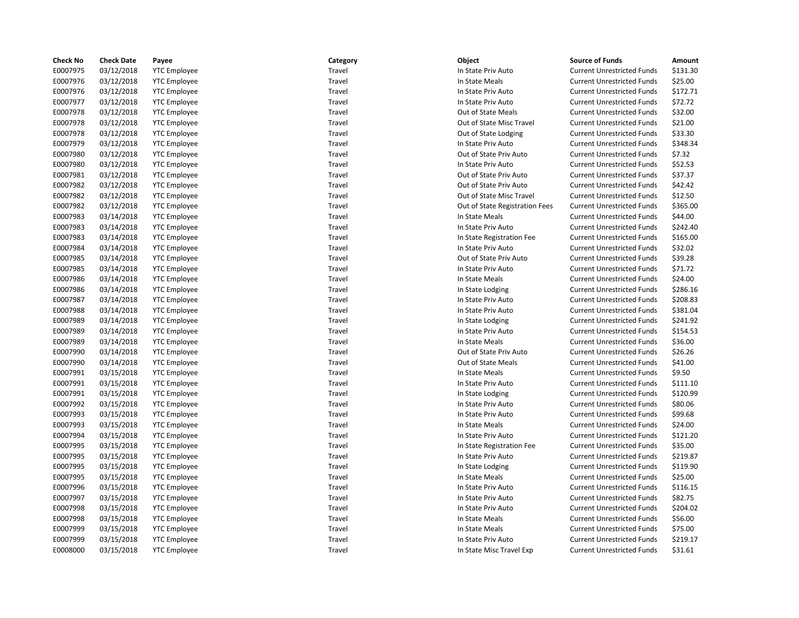| <b>Check No</b> | <b>Check Date</b> | Payee               | Category | Object                         | <b>Source of Funds</b>            | Amount   |
|-----------------|-------------------|---------------------|----------|--------------------------------|-----------------------------------|----------|
| E0007975        | 03/12/2018        | <b>YTC Employee</b> | Travel   | In State Priv Auto             | <b>Current Unrestricted Funds</b> | \$131.30 |
| E0007976        | 03/12/2018        | <b>YTC Employee</b> | Travel   | In State Meals                 | <b>Current Unrestricted Funds</b> | \$25.00  |
| E0007976        | 03/12/2018        | <b>YTC Employee</b> | Travel   | In State Priv Auto             | <b>Current Unrestricted Funds</b> | \$172.71 |
| E0007977        | 03/12/2018        | <b>YTC Employee</b> | Travel   | In State Priv Auto             | <b>Current Unrestricted Funds</b> | \$72.72  |
| E0007978        | 03/12/2018        | <b>YTC Employee</b> | Travel   | Out of State Meals             | <b>Current Unrestricted Funds</b> | \$32.00  |
| E0007978        | 03/12/2018        | <b>YTC Employee</b> | Travel   | Out of State Misc Travel       | <b>Current Unrestricted Funds</b> | \$21.00  |
| E0007978        | 03/12/2018        | <b>YTC Employee</b> | Travel   | Out of State Lodging           | <b>Current Unrestricted Funds</b> | \$33.30  |
| E0007979        | 03/12/2018        | <b>YTC Employee</b> | Travel   | In State Priv Auto             | <b>Current Unrestricted Funds</b> | \$348.34 |
| E0007980        | 03/12/2018        | <b>YTC Employee</b> | Travel   | Out of State Priv Auto         | <b>Current Unrestricted Funds</b> | \$7.32   |
| E0007980        | 03/12/2018        | <b>YTC Employee</b> | Travel   | In State Priv Auto             | <b>Current Unrestricted Funds</b> | \$52.53  |
| E0007981        | 03/12/2018        | <b>YTC Employee</b> | Travel   | Out of State Priv Auto         | <b>Current Unrestricted Funds</b> | \$37.37  |
| E0007982        | 03/12/2018        | <b>YTC Employee</b> | Travel   | Out of State Priv Auto         | <b>Current Unrestricted Funds</b> | \$42.42  |
| E0007982        | 03/12/2018        | <b>YTC Employee</b> | Travel   | Out of State Misc Travel       | <b>Current Unrestricted Funds</b> | \$12.50  |
| E0007982        | 03/12/2018        | <b>YTC Employee</b> | Travel   | Out of State Registration Fees | <b>Current Unrestricted Funds</b> | \$365.00 |
| E0007983        | 03/14/2018        | <b>YTC Employee</b> | Travel   | In State Meals                 | <b>Current Unrestricted Funds</b> | \$44.00  |
| E0007983        | 03/14/2018        | <b>YTC Employee</b> | Travel   | In State Priv Auto             | <b>Current Unrestricted Funds</b> | \$242.40 |
| E0007983        | 03/14/2018        | <b>YTC Employee</b> | Travel   | In State Registration Fee      | <b>Current Unrestricted Funds</b> | \$165.00 |
| E0007984        | 03/14/2018        | <b>YTC Employee</b> | Travel   | In State Priv Auto             | <b>Current Unrestricted Funds</b> | \$32.02  |
| E0007985        | 03/14/2018        | <b>YTC Employee</b> | Travel   | Out of State Priv Auto         | <b>Current Unrestricted Funds</b> | \$39.28  |
| E0007985        | 03/14/2018        | <b>YTC Employee</b> | Travel   | In State Priv Auto             | <b>Current Unrestricted Funds</b> | \$71.72  |
| E0007986        | 03/14/2018        | <b>YTC Employee</b> | Travel   | In State Meals                 | <b>Current Unrestricted Funds</b> | \$24.00  |
| E0007986        | 03/14/2018        | <b>YTC Employee</b> | Travel   | In State Lodging               | <b>Current Unrestricted Funds</b> | \$286.16 |
| E0007987        | 03/14/2018        | <b>YTC Employee</b> | Travel   | In State Priv Auto             | <b>Current Unrestricted Funds</b> | \$208.83 |
| E0007988        | 03/14/2018        | <b>YTC Employee</b> | Travel   | In State Priv Auto             | <b>Current Unrestricted Funds</b> | \$381.04 |
| E0007989        | 03/14/2018        | <b>YTC Employee</b> | Travel   | In State Lodging               | <b>Current Unrestricted Funds</b> | \$241.92 |
| E0007989        | 03/14/2018        | <b>YTC Employee</b> | Travel   | In State Priv Auto             | <b>Current Unrestricted Funds</b> | \$154.53 |
| E0007989        | 03/14/2018        | <b>YTC Employee</b> | Travel   | In State Meals                 | <b>Current Unrestricted Funds</b> | \$36.00  |
| E0007990        | 03/14/2018        | <b>YTC Employee</b> | Travel   | Out of State Priv Auto         | <b>Current Unrestricted Funds</b> | \$26.26  |
| E0007990        | 03/14/2018        | <b>YTC Employee</b> | Travel   | Out of State Meals             | <b>Current Unrestricted Funds</b> | \$41.00  |
| E0007991        | 03/15/2018        | <b>YTC Employee</b> | Travel   | In State Meals                 | <b>Current Unrestricted Funds</b> | \$9.50   |
| E0007991        | 03/15/2018        | <b>YTC Employee</b> | Travel   | In State Priv Auto             | <b>Current Unrestricted Funds</b> | \$111.10 |
| E0007991        | 03/15/2018        | <b>YTC Employee</b> | Travel   | In State Lodging               | <b>Current Unrestricted Funds</b> | \$120.99 |
| E0007992        | 03/15/2018        | <b>YTC Employee</b> | Travel   | In State Priv Auto             | <b>Current Unrestricted Funds</b> | \$80.06  |
| E0007993        | 03/15/2018        | <b>YTC Employee</b> | Travel   | In State Priv Auto             | <b>Current Unrestricted Funds</b> | \$99.68  |
| E0007993        | 03/15/2018        | <b>YTC Employee</b> | Travel   | In State Meals                 | <b>Current Unrestricted Funds</b> | \$24.00  |
| E0007994        | 03/15/2018        | <b>YTC Employee</b> | Travel   | In State Priv Auto             | <b>Current Unrestricted Funds</b> | \$121.20 |
| E0007995        | 03/15/2018        | <b>YTC Employee</b> | Travel   | In State Registration Fee      | <b>Current Unrestricted Funds</b> | \$35.00  |
| E0007995        | 03/15/2018        | <b>YTC Employee</b> | Travel   | In State Priv Auto             | <b>Current Unrestricted Funds</b> | \$219.87 |
| E0007995        | 03/15/2018        | <b>YTC Employee</b> | Travel   | In State Lodging               | <b>Current Unrestricted Funds</b> | \$119.90 |
| E0007995        | 03/15/2018        | <b>YTC Employee</b> | Travel   | In State Meals                 | <b>Current Unrestricted Funds</b> | \$25.00  |
| E0007996        | 03/15/2018        | <b>YTC Employee</b> | Travel   | In State Priv Auto             | <b>Current Unrestricted Funds</b> | \$116.15 |
| E0007997        | 03/15/2018        | <b>YTC Employee</b> | Travel   | In State Priv Auto             | <b>Current Unrestricted Funds</b> | \$82.75  |
| E0007998        | 03/15/2018        | <b>YTC Employee</b> | Travel   | In State Priv Auto             | <b>Current Unrestricted Funds</b> | \$204.02 |
| E0007998        | 03/15/2018        | <b>YTC Employee</b> | Travel   | In State Meals                 | <b>Current Unrestricted Funds</b> | \$56.00  |
| E0007999        | 03/15/2018        | <b>YTC Employee</b> | Travel   | In State Meals                 | <b>Current Unrestricted Funds</b> | \$75.00  |
| E0007999        | 03/15/2018        | <b>YTC Employee</b> | Travel   | In State Priv Auto             | <b>Current Unrestricted Funds</b> | \$219.17 |
| E0008000        | 03/15/2018        | <b>YTC Employee</b> | Travel   | In State Misc Travel Exp       | <b>Current Unrestricted Funds</b> | \$31.61  |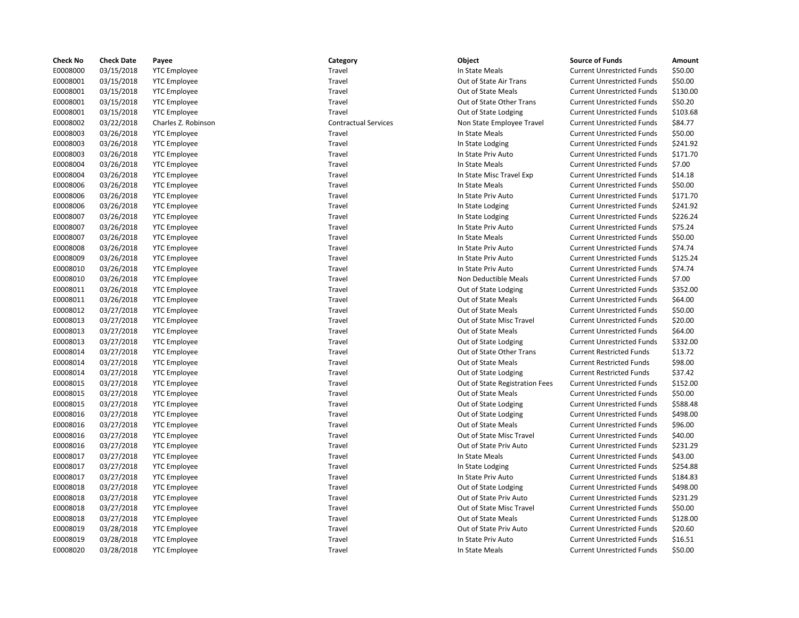| <b>Check No</b> | <b>Check Date</b> | Payee               | Category                    | Object                         | <b>Source of Funds</b>            | Amount   |
|-----------------|-------------------|---------------------|-----------------------------|--------------------------------|-----------------------------------|----------|
| E0008000        | 03/15/2018        | <b>YTC Employee</b> | Travel                      | In State Meals                 | <b>Current Unrestricted Funds</b> | \$50.00  |
| E0008001        | 03/15/2018        | <b>YTC Employee</b> | Travel                      | Out of State Air Trans         | <b>Current Unrestricted Funds</b> | \$50.00  |
| E0008001        | 03/15/2018        | <b>YTC Employee</b> | Travel                      | Out of State Meals             | <b>Current Unrestricted Funds</b> | \$130.00 |
| E0008001        | 03/15/2018        | <b>YTC Employee</b> | Travel                      | Out of State Other Trans       | <b>Current Unrestricted Funds</b> | \$50.20  |
| E0008001        | 03/15/2018        | <b>YTC Employee</b> | Travel                      | Out of State Lodging           | <b>Current Unrestricted Funds</b> | \$103.68 |
| E0008002        | 03/22/2018        | Charles Z. Robinson | <b>Contractual Services</b> | Non State Employee Travel      | <b>Current Unrestricted Funds</b> | \$84.77  |
| E0008003        | 03/26/2018        | <b>YTC Employee</b> | Travel                      | In State Meals                 | <b>Current Unrestricted Funds</b> | \$50.00  |
| E0008003        | 03/26/2018        | <b>YTC Employee</b> | Travel                      | In State Lodging               | <b>Current Unrestricted Funds</b> | \$241.92 |
| E0008003        | 03/26/2018        | <b>YTC Employee</b> | Travel                      | In State Priv Auto             | <b>Current Unrestricted Funds</b> | \$171.70 |
| E0008004        | 03/26/2018        | <b>YTC Employee</b> | Travel                      | In State Meals                 | <b>Current Unrestricted Funds</b> | \$7.00   |
| E0008004        | 03/26/2018        | <b>YTC Employee</b> | Travel                      | In State Misc Travel Exp       | <b>Current Unrestricted Funds</b> | \$14.18  |
| E0008006        | 03/26/2018        | <b>YTC Employee</b> | Travel                      | In State Meals                 | <b>Current Unrestricted Funds</b> | \$50.00  |
| E0008006        | 03/26/2018        | <b>YTC Employee</b> | Travel                      | In State Priv Auto             | <b>Current Unrestricted Funds</b> | \$171.70 |
| E0008006        | 03/26/2018        | <b>YTC Employee</b> | Travel                      | In State Lodging               | <b>Current Unrestricted Funds</b> | \$241.92 |
| E0008007        | 03/26/2018        | <b>YTC Employee</b> | Travel                      | In State Lodging               | <b>Current Unrestricted Funds</b> | \$226.24 |
| E0008007        | 03/26/2018        | <b>YTC Employee</b> | Travel                      | In State Priv Auto             | <b>Current Unrestricted Funds</b> | \$75.24  |
| E0008007        | 03/26/2018        | <b>YTC Employee</b> | Travel                      | In State Meals                 | <b>Current Unrestricted Funds</b> | \$50.00  |
| E0008008        | 03/26/2018        | <b>YTC Employee</b> | Travel                      | In State Priv Auto             | <b>Current Unrestricted Funds</b> | \$74.74  |
| E0008009        | 03/26/2018        | <b>YTC Employee</b> | Travel                      | In State Priv Auto             | <b>Current Unrestricted Funds</b> | \$125.24 |
| E0008010        | 03/26/2018        | <b>YTC Employee</b> | Travel                      | In State Priv Auto             | <b>Current Unrestricted Funds</b> | \$74.74  |
| E0008010        | 03/26/2018        | <b>YTC Employee</b> | Travel                      | Non Deductible Meals           | <b>Current Unrestricted Funds</b> | \$7.00   |
| E0008011        | 03/26/2018        | <b>YTC Employee</b> | Travel                      | Out of State Lodging           | <b>Current Unrestricted Funds</b> | \$352.00 |
| E0008011        | 03/26/2018        | <b>YTC Employee</b> | Travel                      | Out of State Meals             | <b>Current Unrestricted Funds</b> | \$64.00  |
| E0008012        | 03/27/2018        | <b>YTC Employee</b> | Travel                      | Out of State Meals             | <b>Current Unrestricted Funds</b> | \$50.00  |
| E0008013        | 03/27/2018        | <b>YTC Employee</b> | Travel                      | Out of State Misc Travel       | <b>Current Unrestricted Funds</b> | \$20.00  |
| E0008013        | 03/27/2018        | <b>YTC Employee</b> | Travel                      | Out of State Meals             | <b>Current Unrestricted Funds</b> | \$64.00  |
| E0008013        | 03/27/2018        | <b>YTC Employee</b> | Travel                      | Out of State Lodging           | <b>Current Unrestricted Funds</b> | \$332.00 |
| E0008014        | 03/27/2018        | <b>YTC Employee</b> | Travel                      | Out of State Other Trans       | <b>Current Restricted Funds</b>   | \$13.72  |
| E0008014        | 03/27/2018        | <b>YTC Employee</b> | Travel                      | Out of State Meals             | <b>Current Restricted Funds</b>   | \$98.00  |
| E0008014        | 03/27/2018        | <b>YTC Employee</b> | Travel                      | Out of State Lodging           | <b>Current Restricted Funds</b>   | \$37.42  |
| E0008015        | 03/27/2018        | <b>YTC Employee</b> | Travel                      | Out of State Registration Fees | <b>Current Unrestricted Funds</b> | \$152.00 |
| E0008015        | 03/27/2018        | <b>YTC Employee</b> | Travel                      | Out of State Meals             | <b>Current Unrestricted Funds</b> | \$50.00  |
| E0008015        | 03/27/2018        | <b>YTC Employee</b> | Travel                      | Out of State Lodging           | <b>Current Unrestricted Funds</b> | \$588.48 |
| E0008016        | 03/27/2018        | <b>YTC Employee</b> | Travel                      | Out of State Lodging           | <b>Current Unrestricted Funds</b> | \$498.00 |
| E0008016        | 03/27/2018        | <b>YTC Employee</b> | Travel                      | Out of State Meals             | <b>Current Unrestricted Funds</b> | \$96.00  |
| E0008016        | 03/27/2018        | <b>YTC Employee</b> | Travel                      | Out of State Misc Travel       | <b>Current Unrestricted Funds</b> | \$40.00  |
| E0008016        | 03/27/2018        | <b>YTC Employee</b> | Travel                      | Out of State Priv Auto         | <b>Current Unrestricted Funds</b> | \$231.29 |
| E0008017        | 03/27/2018        | <b>YTC Employee</b> | Travel                      | In State Meals                 | <b>Current Unrestricted Funds</b> | \$43.00  |
| E0008017        | 03/27/2018        | <b>YTC Employee</b> | Travel                      | In State Lodging               | <b>Current Unrestricted Funds</b> | \$254.88 |
| E0008017        | 03/27/2018        | <b>YTC Employee</b> | Travel                      | In State Priv Auto             | <b>Current Unrestricted Funds</b> | \$184.83 |
| E0008018        | 03/27/2018        | <b>YTC Employee</b> | Travel                      | Out of State Lodging           | <b>Current Unrestricted Funds</b> | \$498.00 |
| E0008018        | 03/27/2018        | <b>YTC Employee</b> | Travel                      | Out of State Priv Auto         | <b>Current Unrestricted Funds</b> | \$231.29 |
| E0008018        | 03/27/2018        | <b>YTC Employee</b> | Travel                      | Out of State Misc Travel       | <b>Current Unrestricted Funds</b> | \$50.00  |
| E0008018        | 03/27/2018        | <b>YTC Employee</b> | Travel                      | Out of State Meals             | <b>Current Unrestricted Funds</b> | \$128.00 |
| E0008019        | 03/28/2018        | <b>YTC Employee</b> | Travel                      | Out of State Priv Auto         | <b>Current Unrestricted Funds</b> | \$20.60  |
| E0008019        | 03/28/2018        | <b>YTC Employee</b> | Travel                      | In State Priv Auto             | <b>Current Unrestricted Funds</b> | \$16.51  |
| E0008020        | 03/28/2018        | <b>YTC Employee</b> | Travel                      | In State Meals                 | <b>Current Unrestricted Funds</b> | \$50.00  |

| Category             |  |
|----------------------|--|
| Travel               |  |
| Travel               |  |
| Travel               |  |
| Travel               |  |
| Travel               |  |
| Contractual Service: |  |
| Travel               |  |
| Travel               |  |
| Travel               |  |
| Travel               |  |
| Travel               |  |
| Travel               |  |
| Travel               |  |
| Travel               |  |
| Travel               |  |
| Travel               |  |
| Travel               |  |
| Travel               |  |
| Travel               |  |
| Travel               |  |
| Travel               |  |
| Travel               |  |
| Travel               |  |
| Travel               |  |
| Travel               |  |
| Travel               |  |
| Travel               |  |
| Travel               |  |
| Travel               |  |
| Travel               |  |
| Travel               |  |
|                      |  |
| Travel<br>Travel     |  |
| Travel               |  |
|                      |  |
| Travel               |  |
| Travel               |  |
| Travel               |  |
| Travel               |  |
| Travel               |  |
| Travel               |  |
| Travel               |  |
| Travel               |  |
| Travel               |  |
| Travel               |  |
| Travel               |  |
| Travel               |  |
| Travel               |  |

| Object                       |
|------------------------------|
| In State Meals               |
| Out of State Air Trans       |
| Out of State Meals           |
| Out of State Other Trans     |
| Out of State Lodging         |
| Non State Employee Travel    |
| In State Meals               |
| In State Lodging             |
| In State Priv Auto           |
| In State Meals               |
| In State Misc Travel Exp     |
| In State Meals               |
| In State Priv Auto           |
| In State Lodging             |
| In State Lodging             |
| In State Priv Auto           |
| In State Meals               |
| In State Priv Auto           |
| In State Priv Auto           |
| In State Priv Auto           |
| Non Deductible Meals         |
| Out of State Lodging         |
|                              |
| Out of State Meals           |
| Out of State Meals           |
| Out of State Misc Travel     |
| Out of State Meals           |
| Out of State Lodging         |
| Out of State Other Trans     |
| Out of State Meals           |
| Out of State Lodging         |
| Out of State Registration Fe |
| Out of State Meals           |
| Out of State Lodging         |
| Out of State Lodging         |
| Out of State Meals           |
| Out of State Misc Travel     |
| Out of State Priv Auto       |
| In State Meals               |
| In State Lodging             |
| In State Priv Auto           |
| Out of State Lodging         |
| Out of State Priv Auto       |
| Out of State Misc Travel     |
| Out of State Meals           |
| Out of State Priv Auto       |
| In State Priv Auto           |
| In State Meals               |